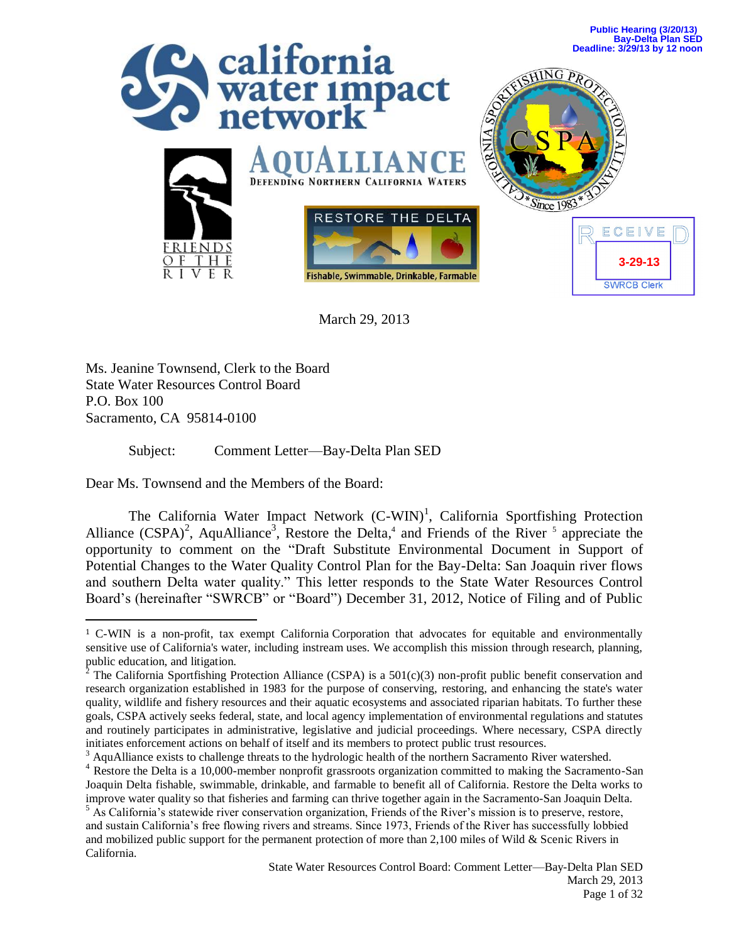

March 29, 2013

Ms. Jeanine Townsend, Clerk to the Board State Water Resources Control Board P.O. Box 100 Sacramento, CA 95814-0100

 $\overline{a}$ 

Subject: Comment Letter—Bay-Delta Plan SED

Dear Ms. Townsend and the Members of the Board:

The California Water Impact Network  $(C-WIN)^1$ , California Sportfishing Protection Alliance  $(CSPA)^2$ , AquAlliance<sup>3</sup>, Restore the Delta,<sup>4</sup> and Friends of the River <sup>5</sup> appreciate the opportunity to comment on the "Draft Substitute Environmental Document in Support of Potential Changes to the Water Quality Control Plan for the Bay-Delta: San Joaquin river flows and southern Delta water quality." This letter responds to the State Water Resources Control Board's (hereinafter "SWRCB" or "Board") December 31, 2012, Notice of Filing and of Public

<sup>1</sup> C-WIN is a non-profit, tax exempt California Corporation that advocates for equitable and environmentally sensitive use of California's water, including instream uses. We accomplish this mission through research, planning, public education, and litigation.<br><sup>2</sup> The Celifornia Sportfishing P

The California Sportfishing Protection Alliance (CSPA) is a  $501(c)(3)$  non-profit public benefit conservation and research organization established in 1983 for the purpose of conserving, restoring, and enhancing the state's water quality, wildlife and fishery resources and their aquatic ecosystems and associated riparian habitats. To further these goals, CSPA actively seeks federal, state, and local agency implementation of environmental regulations and statutes and routinely participates in administrative, legislative and judicial proceedings. Where necessary, CSPA directly initiates enforcement actions on behalf of itself and its members to protect public trust resources.

<sup>&</sup>lt;sup>3</sup> AquAlliance exists to challenge threats to the hydrologic health of the northern Sacramento River watershed.

<sup>&</sup>lt;sup>4</sup> Restore the Delta is a 10,000-member nonprofit grassroots organization committed to making the Sacramento-San Joaquin Delta fishable, swimmable, drinkable, and farmable to benefit all of California. Restore the Delta works to improve water quality so that fisheries and farming can thrive together again in the Sacramento-San Joaquin Delta.

<sup>&</sup>lt;sup>5</sup> As California's statewide river conservation organization, Friends of the River's mission is to preserve, restore, and sustain California's free flowing rivers and streams. Since 1973, Friends of the River has successfully lobbied and mobilized public support for the permanent protection of more than 2,100 miles of Wild & Scenic Rivers in California.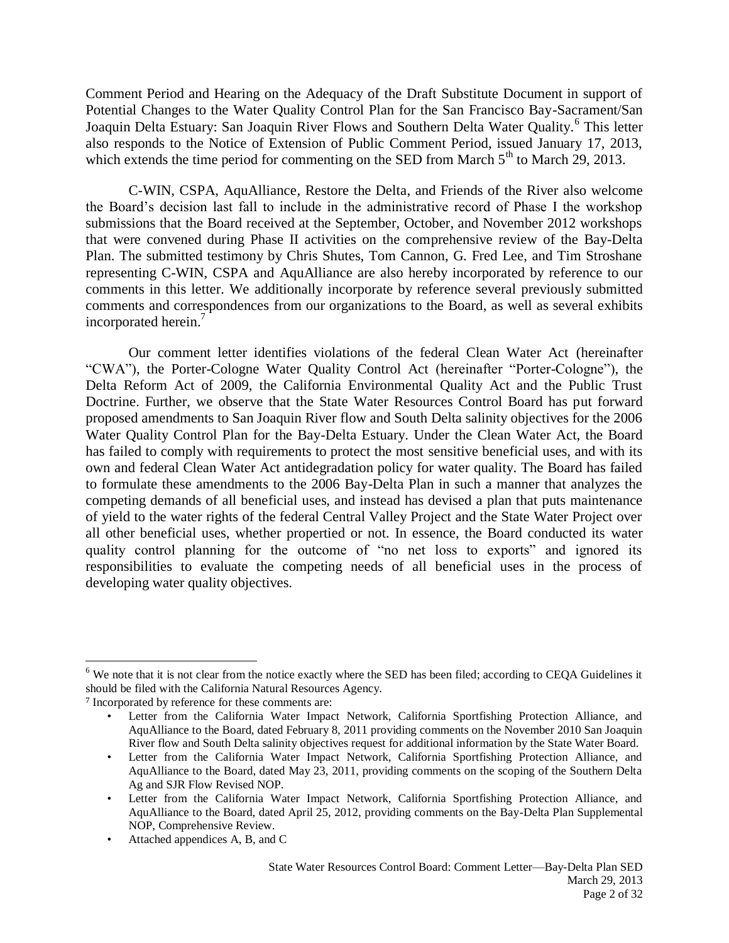Comment Period and Hearing on the Adequacy of the Draft Substitute Document in support of Potential Changes to the Water Quality Control Plan for the San Francisco Bay-Sacrament/San Joaquin Delta Estuary: San Joaquin River Flows and Southern Delta Water Quality.<sup>6</sup> This letter also responds to the Notice of Extension of Public Comment Period, issued January 17, 2013, which extends the time period for commenting on the SED from March  $5<sup>th</sup>$  to March 29, 2013.

C-WIN, CSPA, AquAlliance, Restore the Delta, and Friends of the River also welcome the Board's decision last fall to include in the administrative record of Phase I the workshop submissions that the Board received at the September, October, and November 2012 workshops that were convened during Phase II activities on the comprehensive review of the Bay-Delta Plan. The submitted testimony by Chris Shutes, Tom Cannon, G. Fred Lee, and Tim Stroshane representing C-WIN, CSPA and AquAlliance are also hereby incorporated by reference to our comments in this letter. We additionally incorporate by reference several previously submitted comments and correspondences from our organizations to the Board, as well as several exhibits incorporated herein.<sup>7</sup>

Our comment letter identifies violations of the federal Clean Water Act (hereinafter "CWA"), the Porter-Cologne Water Quality Control Act (hereinafter "Porter-Cologne"), the Delta Reform Act of 2009, the California Environmental Quality Act and the Public Trust Doctrine. Further, we observe that the State Water Resources Control Board has put forward proposed amendments to San Joaquin River flow and South Delta salinity objectives for the 2006 Water Quality Control Plan for the Bay-Delta Estuary. Under the Clean Water Act, the Board has failed to comply with requirements to protect the most sensitive beneficial uses, and with its own and federal Clean Water Act antidegradation policy for water quality. The Board has failed to formulate these amendments to the 2006 Bay-Delta Plan in such a manner that analyzes the competing demands of all beneficial uses, and instead has devised a plan that puts maintenance of yield to the water rights of the federal Central Valley Project and the State Water Project over all other beneficial uses, whether propertied or not. In essence, the Board conducted its water quality control planning for the outcome of "no net loss to exports" and ignored its responsibilities to evaluate the competing needs of all beneficial uses in the process of developing water quality objectives.

<sup>&</sup>lt;sup>6</sup> We note that it is not clear from the notice exactly where the SED has been filed; according to CEQA Guidelines it should be filed with the California Natural Resources Agency.

<sup>7</sup> Incorporated by reference for these comments are:

Letter from the California Water Impact Network, California Sportfishing Protection Alliance, and AquAlliance to the Board, dated February 8, 2011 providing comments on the November 2010 San Joaquin River flow and South Delta salinity objectives request for additional information by the State Water Board.

<sup>•</sup> Letter from the California Water Impact Network, California Sportfishing Protection Alliance, and AquAlliance to the Board, dated May 23, 2011, providing comments on the scoping of the Southern Delta Ag and SJR Flow Revised NOP.

<sup>•</sup> Letter from the California Water Impact Network, California Sportfishing Protection Alliance, and AquAlliance to the Board, dated April 25, 2012, providing comments on the Bay-Delta Plan Supplemental NOP, Comprehensive Review.

<sup>•</sup> Attached appendices A, B, and C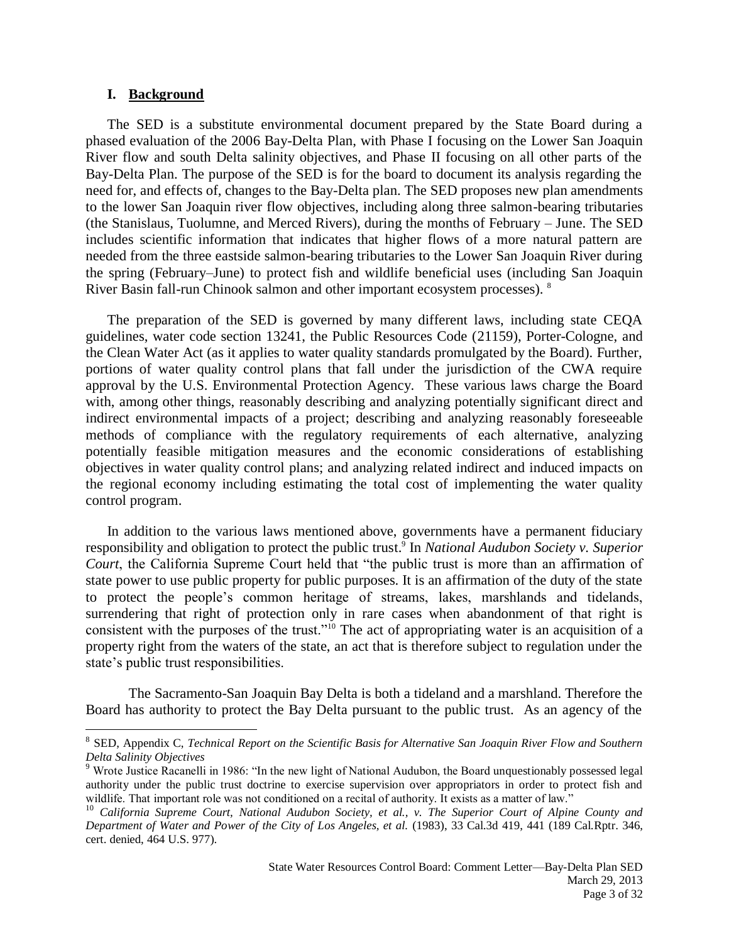#### **I. Background**

 $\overline{a}$ 

The SED is a substitute environmental document prepared by the State Board during a phased evaluation of the 2006 Bay-Delta Plan, with Phase I focusing on the Lower San Joaquin River flow and south Delta salinity objectives, and Phase II focusing on all other parts of the Bay-Delta Plan. The purpose of the SED is for the board to document its analysis regarding the need for, and effects of, changes to the Bay-Delta plan. The SED proposes new plan amendments to the lower San Joaquin river flow objectives, including along three salmon-bearing tributaries (the Stanislaus, Tuolumne, and Merced Rivers), during the months of February – June. The SED includes scientific information that indicates that higher flows of a more natural pattern are needed from the three eastside salmon-bearing tributaries to the Lower San Joaquin River during the spring (February–June) to protect fish and wildlife beneficial uses (including San Joaquin River Basin fall-run Chinook salmon and other important ecosystem processes). <sup>8</sup>

The preparation of the SED is governed by many different laws, including state CEQA guidelines, water code section 13241, the Public Resources Code (21159), Porter-Cologne, and the Clean Water Act (as it applies to water quality standards promulgated by the Board). Further, portions of water quality control plans that fall under the jurisdiction of the CWA require approval by the U.S. Environmental Protection Agency. These various laws charge the Board with, among other things, reasonably describing and analyzing potentially significant direct and indirect environmental impacts of a project; describing and analyzing reasonably foreseeable methods of compliance with the regulatory requirements of each alternative, analyzing potentially feasible mitigation measures and the economic considerations of establishing objectives in water quality control plans; and analyzing related indirect and induced impacts on the regional economy including estimating the total cost of implementing the water quality control program.

In addition to the various laws mentioned above, governments have a permanent fiduciary responsibility and obligation to protect the public trust.<sup>9</sup> In *National Audubon Society v. Superior Court*, the California Supreme Court held that "the public trust is more than an affirmation of state power to use public property for public purposes. It is an affirmation of the duty of the state to protect the people's common heritage of streams, lakes, marshlands and tidelands, surrendering that right of protection only in rare cases when abandonment of that right is consistent with the purposes of the trust."<sup>10</sup> The act of appropriating water is an acquisition of a property right from the waters of the state, an act that is therefore subject to regulation under the state's public trust responsibilities.

The Sacramento-San Joaquin Bay Delta is both a tideland and a marshland. Therefore the Board has authority to protect the Bay Delta pursuant to the public trust. As an agency of the

<sup>&</sup>lt;sup>8</sup> SED, Appendix C, *Technical Report on the Scientific Basis for Alternative San Joaquin River Flow and Southern Delta Salinity Objectives*

<sup>&</sup>lt;sup>9</sup> Wrote Justice Racanelli in 1986: "In the new light of National Audubon, the Board unquestionably possessed legal authority under the public trust doctrine to exercise supervision over appropriators in order to protect fish and wildlife. That important role was not conditioned on a recital of authority. It exists as a matter of law."

<sup>10</sup> *California Supreme Court, National Audubon Society, et al., v. The Superior Court of Alpine County and Department of Water and Power of the City of Los Angeles, et al.* (1983), 33 Cal.3d 419, 441 (189 Cal.Rptr. 346, cert. denied, 464 U.S. 977).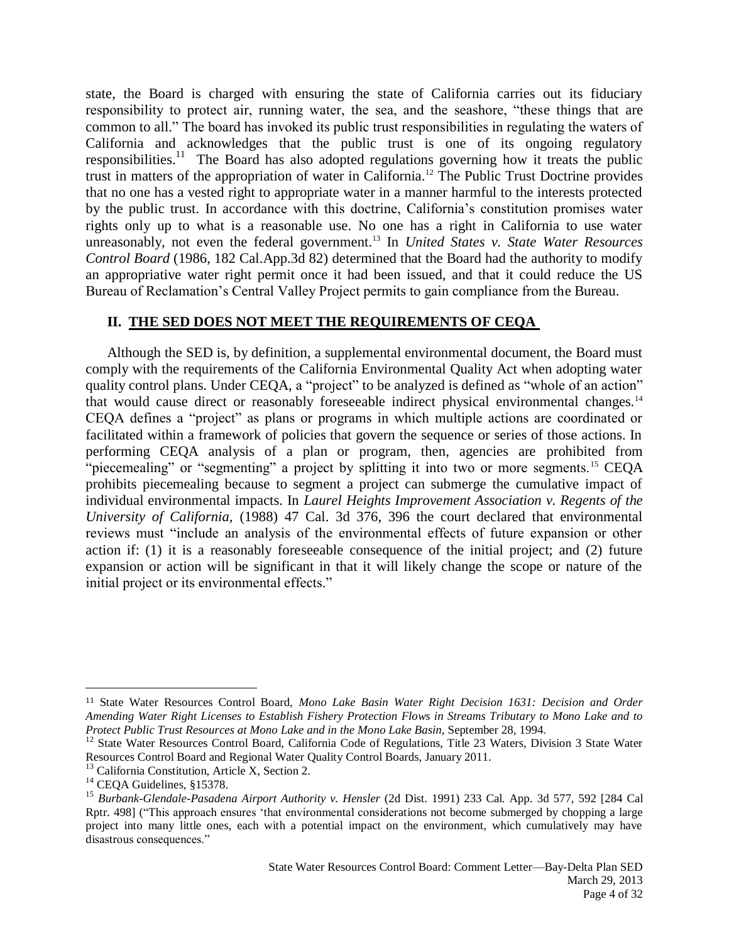state, the Board is charged with ensuring the state of California carries out its fiduciary responsibility to protect air, running water, the sea, and the seashore, "these things that are common to all." The board has invoked its public trust responsibilities in regulating the waters of California and acknowledges that the public trust is one of its ongoing regulatory responsibilities.<sup>11</sup> The Board has also adopted regulations governing how it treats the public trust in matters of the appropriation of water in California.<sup>12</sup> The Public Trust Doctrine provides that no one has a vested right to appropriate water in a manner harmful to the interests protected by the public trust. In accordance with this doctrine, California's constitution promises water rights only up to what is a reasonable use. No one has a right in California to use water unreasonably, not even the federal government.<sup>13</sup> In *United States v. State Water Resources Control Board* (1986, 182 Cal.App.3d 82) determined that the Board had the authority to modify an appropriative water right permit once it had been issued, and that it could reduce the US Bureau of Reclamation's Central Valley Project permits to gain compliance from the Bureau.

#### **II. THE SED DOES NOT MEET THE REQUIREMENTS OF CEQA**

Although the SED is, by definition, a supplemental environmental document, the Board must comply with the requirements of the California Environmental Quality Act when adopting water quality control plans. Under CEQA, a "project" to be analyzed is defined as "whole of an action" that would cause direct or reasonably foreseeable indirect physical environmental changes.<sup>14</sup> CEQA defines a "project" as plans or programs in which multiple actions are coordinated or facilitated within a framework of policies that govern the sequence or series of those actions. In performing CEQA analysis of a plan or program, then, agencies are prohibited from "piecemealing" or "segmenting" a project by splitting it into two or more segments.<sup>15</sup> CEQA prohibits piecemealing because to segment a project can submerge the cumulative impact of individual environmental impacts. In *Laurel Heights Improvement Association v. Regents of the University of California,* (1988) 47 Cal. 3d 376, 396 the court declared that environmental reviews must "include an analysis of the environmental effects of future expansion or other action if: (1) it is a reasonably foreseeable consequence of the initial project; and (2) future expansion or action will be significant in that it will likely change the scope or nature of the initial project or its environmental effects."

<sup>11</sup> State Water Resources Control Board, *Mono Lake Basin Water Right Decision 1631: Decision and Order Amending Water Right Licenses to Establish Fishery Protection Flows in Streams Tributary to Mono Lake and to Protect Public Trust Resources at Mono Lake and in the Mono Lake Basin*, September 28, 1994.

<sup>&</sup>lt;sup>12</sup> State Water Resources Control Board, California Code of Regulations, Title 23 Waters, Division 3 State Water Resources Control Board and Regional Water Quality Control Boards, January 2011.

<sup>&</sup>lt;sup>13</sup> California Constitution, Article X, Section 2.

<sup>&</sup>lt;sup>14</sup> CEQA Guidelines, §15378.

<sup>15</sup> *Burbank-Glendale-Pasadena Airport Authority v. Hensler* (2d Dist. 1991) 233 Cal. App. 3d 577, 592 [284 Cal Rptr. 498] ("This approach ensures 'that environmental considerations not become submerged by chopping a large project into many little ones, each with a potential impact on the environment, which cumulatively may have disastrous consequences."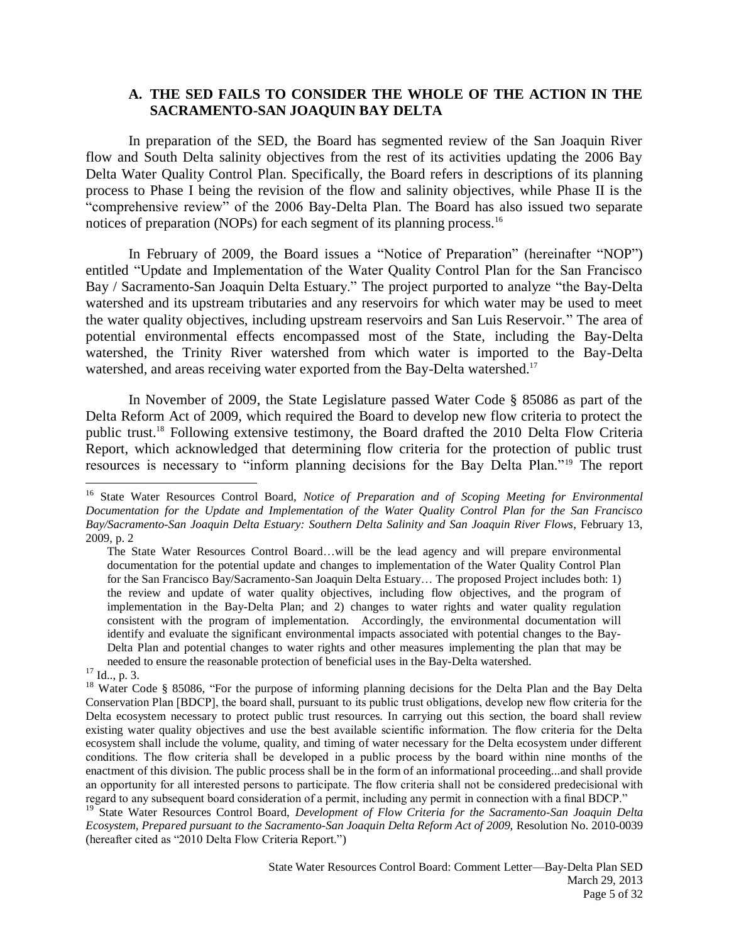### **A. THE SED FAILS TO CONSIDER THE WHOLE OF THE ACTION IN THE SACRAMENTO-SAN JOAQUIN BAY DELTA**

In preparation of the SED, the Board has segmented review of the San Joaquin River flow and South Delta salinity objectives from the rest of its activities updating the 2006 Bay Delta Water Quality Control Plan. Specifically, the Board refers in descriptions of its planning process to Phase I being the revision of the flow and salinity objectives, while Phase II is the "comprehensive review" of the 2006 Bay-Delta Plan. The Board has also issued two separate notices of preparation (NOPs) for each segment of its planning process.<sup>16</sup>

In February of 2009, the Board issues a "Notice of Preparation" (hereinafter "NOP") entitled "Update and Implementation of the Water Quality Control Plan for the San Francisco Bay / Sacramento-San Joaquin Delta Estuary." The project purported to analyze "the Bay-Delta watershed and its upstream tributaries and any reservoirs for which water may be used to meet the water quality objectives, including upstream reservoirs and San Luis Reservoir." The area of potential environmental effects encompassed most of the State, including the Bay-Delta watershed, the Trinity River watershed from which water is imported to the Bay-Delta watershed, and areas receiving water exported from the Bay-Delta watershed.<sup>17</sup>

In November of 2009, the State Legislature passed Water Code § 85086 as part of the Delta Reform Act of 2009, which required the Board to develop new flow criteria to protect the public trust.<sup>18</sup> Following extensive testimony, the Board drafted the 2010 Delta Flow Criteria Report, which acknowledged that determining flow criteria for the protection of public trust resources is necessary to "inform planning decisions for the Bay Delta Plan."<sup>19</sup> The report

 $\overline{a}$ 

<sup>19</sup> State Water Resources Control Board, *Development of Flow Criteria for the Sacramento-San Joaquin Delta Ecosystem, Prepared pursuant to the Sacramento-San Joaquin Delta Reform Act of 2009,* Resolution No. 2010-0039 (hereafter cited as "2010 Delta Flow Criteria Report.")

<sup>&</sup>lt;sup>16</sup> State Water Resources Control Board, *Notice of Preparation and of Scoping Meeting for Environmental Documentation for the Update and Implementation of the Water Quality Control Plan for the San Francisco Bay/Sacramento-San Joaquin Delta Estuary: Southern Delta Salinity and San Joaquin River Flows*, February 13, 2009, p. 2

The State Water Resources Control Board…will be the lead agency and will prepare environmental documentation for the potential update and changes to implementation of the Water Quality Control Plan for the San Francisco Bay/Sacramento-San Joaquin Delta Estuary… The proposed Project includes both: 1) the review and update of water quality objectives, including flow objectives, and the program of implementation in the Bay-Delta Plan; and 2) changes to water rights and water quality regulation consistent with the program of implementation. Accordingly, the environmental documentation will identify and evaluate the significant environmental impacts associated with potential changes to the Bay-Delta Plan and potential changes to water rights and other measures implementing the plan that may be needed to ensure the reasonable protection of beneficial uses in the Bay-Delta watershed.

 $17$  Id.., p. 3.

<sup>&</sup>lt;sup>18</sup> Water Code § 85086, "For the purpose of informing planning decisions for the Delta Plan and the Bay Delta Conservation Plan [BDCP], the board shall, pursuant to its public trust obligations, develop new flow criteria for the Delta ecosystem necessary to protect public trust resources. In carrying out this section, the board shall review existing water quality objectives and use the best available scientific information. The flow criteria for the Delta ecosystem shall include the volume, quality, and timing of water necessary for the Delta ecosystem under different conditions. The flow criteria shall be developed in a public process by the board within nine months of the enactment of this division. The public process shall be in the form of an informational proceeding...and shall provide an opportunity for all interested persons to participate. The flow criteria shall not be considered predecisional with regard to any subsequent board consideration of a permit, including any permit in connection with a final BDCP."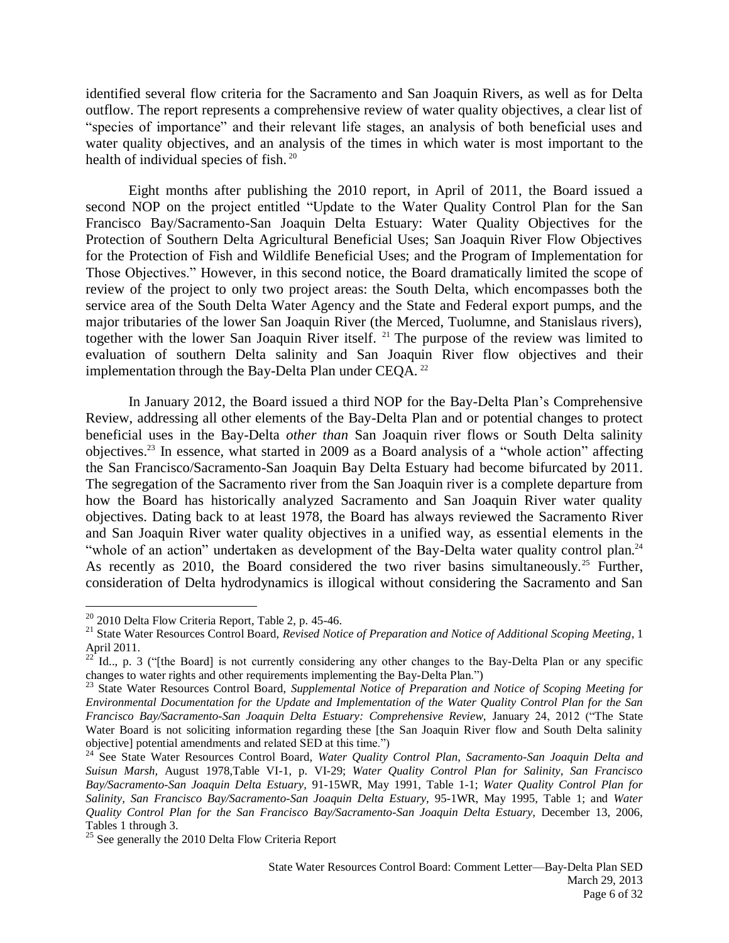identified several flow criteria for the Sacramento and San Joaquin Rivers, as well as for Delta outflow. The report represents a comprehensive review of water quality objectives, a clear list of "species of importance" and their relevant life stages, an analysis of both beneficial uses and water quality objectives, and an analysis of the times in which water is most important to the health of individual species of fish. <sup>20</sup>

Eight months after publishing the 2010 report, in April of 2011, the Board issued a second NOP on the project entitled "Update to the Water Quality Control Plan for the San Francisco Bay/Sacramento-San Joaquin Delta Estuary: Water Quality Objectives for the Protection of Southern Delta Agricultural Beneficial Uses; San Joaquin River Flow Objectives for the Protection of Fish and Wildlife Beneficial Uses; and the Program of Implementation for Those Objectives." However, in this second notice, the Board dramatically limited the scope of review of the project to only two project areas: the South Delta, which encompasses both the service area of the South Delta Water Agency and the State and Federal export pumps, and the major tributaries of the lower San Joaquin River (the Merced, Tuolumne, and Stanislaus rivers), together with the lower San Joaquin River itself. <sup>21</sup> The purpose of the review was limited to evaluation of southern Delta salinity and San Joaquin River flow objectives and their implementation through the Bay-Delta Plan under CEQA.<sup>22</sup>

In January 2012, the Board issued a third NOP for the Bay-Delta Plan's Comprehensive Review, addressing all other elements of the Bay-Delta Plan and or potential changes to protect beneficial uses in the Bay-Delta *other than* San Joaquin river flows or South Delta salinity objectives. <sup>23</sup> In essence, what started in 2009 as a Board analysis of a "whole action" affecting the San Francisco/Sacramento-San Joaquin Bay Delta Estuary had become bifurcated by 2011. The segregation of the Sacramento river from the San Joaquin river is a complete departure from how the Board has historically analyzed Sacramento and San Joaquin River water quality objectives. Dating back to at least 1978, the Board has always reviewed the Sacramento River and San Joaquin River water quality objectives in a unified way, as essential elements in the "whole of an action" undertaken as development of the Bay-Delta water quality control plan.<sup>24</sup> As recently as 2010, the Board considered the two river basins simultaneously.<sup>25</sup> Further, consideration of Delta hydrodynamics is illogical without considering the Sacramento and San

 $20$  2010 Delta Flow Criteria Report, Table 2, p. 45-46.

<sup>21</sup> State Water Resources Control Board, *Revised Notice of Preparation and Notice of Additional Scoping Meeting*, 1 April 2011.

 $22^{22}$  Id.., p. 3 ("[the Board] is not currently considering any other changes to the Bay-Delta Plan or any specific changes to water rights and other requirements implementing the Bay-Delta Plan.")

<sup>23</sup> State Water Resources Control Board, *Supplemental Notice of Preparation and Notice of Scoping Meeting for Environmental Documentation for the Update and Implementation of the Water Quality Control Plan for the San Francisco Bay/Sacramento-San Joaquin Delta Estuary: Comprehensive Review,* January 24, 2012 ("The State Water Board is not soliciting information regarding these [the San Joaquin River flow and South Delta salinity objective] potential amendments and related SED at this time.")

<sup>&</sup>lt;sup>24</sup> See State Water Resources Control Board, *Water Quality Control Plan, Sacramento-San Joaquin Delta and Suisun Marsh,* August 1978,Table VI-1, p. VI-29; *Water Quality Control Plan for Salinity*, *San Francisco Bay/Sacramento-San Joaquin Delta Estuary,* 91-15WR, May 1991, Table 1-1; *Water Quality Control Plan for Salinity, San Francisco Bay/Sacramento-San Joaquin Delta Estuary,* 95-1WR, May 1995, Table 1; and *Water Quality Control Plan for the San Francisco Bay/Sacramento-San Joaquin Delta Estuary,* December 13, 2006, Tables 1 through 3.

 $25$  See generally the 2010 Delta Flow Criteria Report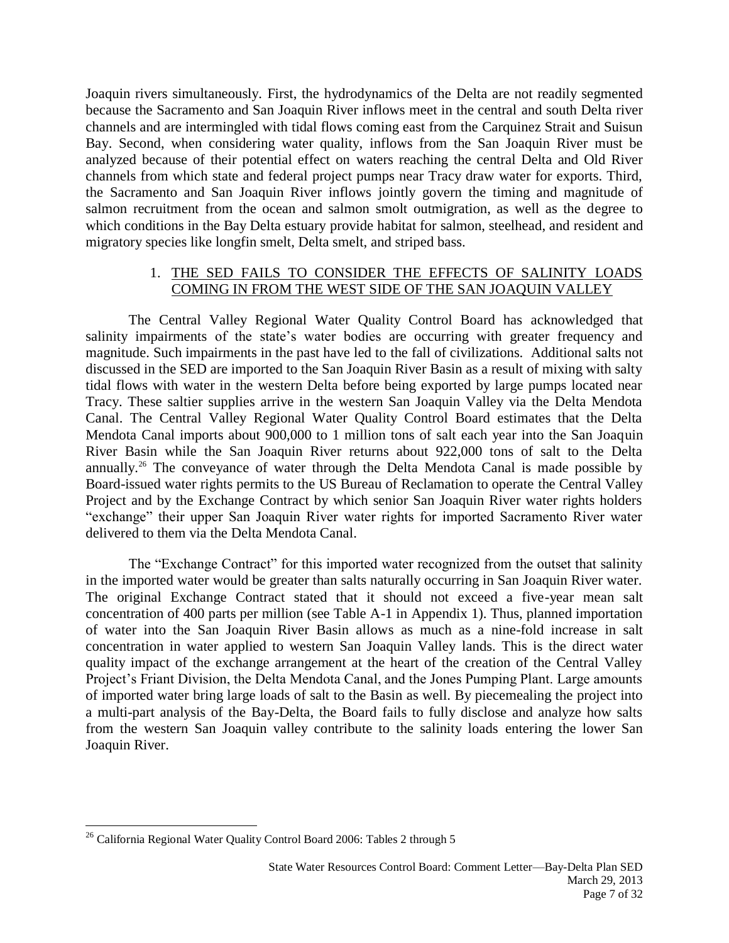Joaquin rivers simultaneously. First, the hydrodynamics of the Delta are not readily segmented because the Sacramento and San Joaquin River inflows meet in the central and south Delta river channels and are intermingled with tidal flows coming east from the Carquinez Strait and Suisun Bay. Second, when considering water quality, inflows from the San Joaquin River must be analyzed because of their potential effect on waters reaching the central Delta and Old River channels from which state and federal project pumps near Tracy draw water for exports. Third, the Sacramento and San Joaquin River inflows jointly govern the timing and magnitude of salmon recruitment from the ocean and salmon smolt outmigration, as well as the degree to which conditions in the Bay Delta estuary provide habitat for salmon, steelhead, and resident and migratory species like longfin smelt, Delta smelt, and striped bass.

# 1. THE SED FAILS TO CONSIDER THE EFFECTS OF SALINITY LOADS COMING IN FROM THE WEST SIDE OF THE SAN JOAQUIN VALLEY

The Central Valley Regional Water Quality Control Board has acknowledged that salinity impairments of the state's water bodies are occurring with greater frequency and magnitude. Such impairments in the past have led to the fall of civilizations. Additional salts not discussed in the SED are imported to the San Joaquin River Basin as a result of mixing with salty tidal flows with water in the western Delta before being exported by large pumps located near Tracy. These saltier supplies arrive in the western San Joaquin Valley via the Delta Mendota Canal. The Central Valley Regional Water Quality Control Board estimates that the Delta Mendota Canal imports about 900,000 to 1 million tons of salt each year into the San Joaquin River Basin while the San Joaquin River returns about 922,000 tons of salt to the Delta annually.<sup>26</sup> The conveyance of water through the Delta Mendota Canal is made possible by Board-issued water rights permits to the US Bureau of Reclamation to operate the Central Valley Project and by the Exchange Contract by which senior San Joaquin River water rights holders "exchange" their upper San Joaquin River water rights for imported Sacramento River water delivered to them via the Delta Mendota Canal.

The "Exchange Contract" for this imported water recognized from the outset that salinity in the imported water would be greater than salts naturally occurring in San Joaquin River water. The original Exchange Contract stated that it should not exceed a five-year mean salt concentration of 400 parts per million (see Table A-1 in Appendix 1). Thus, planned importation of water into the San Joaquin River Basin allows as much as a nine-fold increase in salt concentration in water applied to western San Joaquin Valley lands. This is the direct water quality impact of the exchange arrangement at the heart of the creation of the Central Valley Project's Friant Division, the Delta Mendota Canal, and the Jones Pumping Plant. Large amounts of imported water bring large loads of salt to the Basin as well. By piecemealing the project into a multi-part analysis of the Bay-Delta, the Board fails to fully disclose and analyze how salts from the western San Joaquin valley contribute to the salinity loads entering the lower San Joaquin River.

 $^{26}$  California Regional Water Quality Control Board 2006: Tables 2 through 5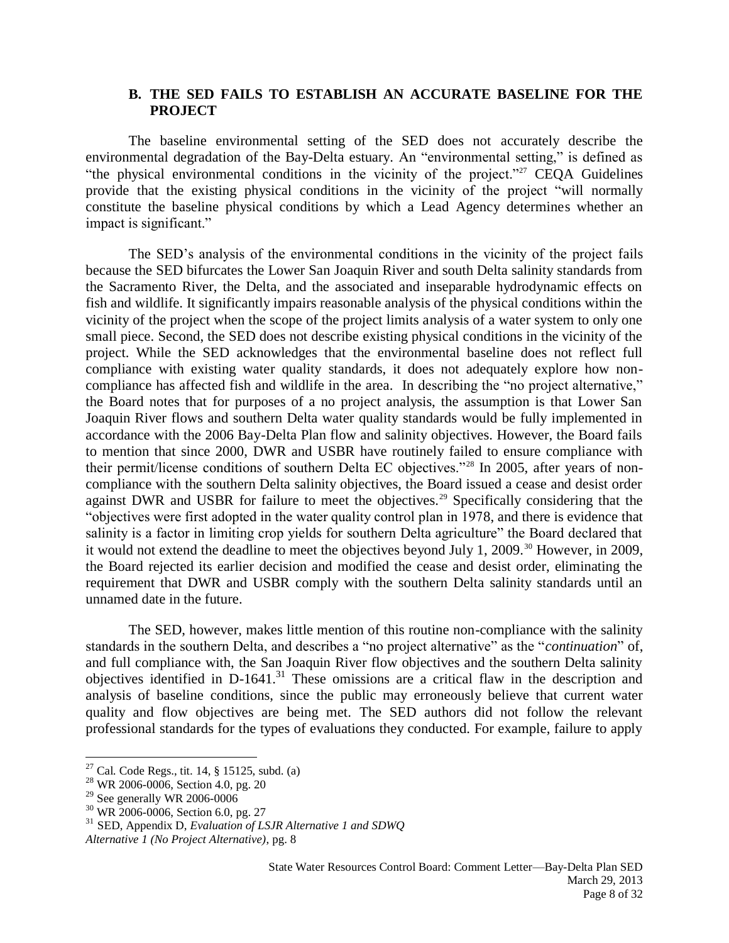#### **B. THE SED FAILS TO ESTABLISH AN ACCURATE BASELINE FOR THE PROJECT**

The baseline environmental setting of the SED does not accurately describe the environmental degradation of the Bay-Delta estuary. An "environmental setting," is defined as "the physical environmental conditions in the vicinity of the project."<sup>27</sup> CEQA Guidelines provide that the existing physical conditions in the vicinity of the project "will normally constitute the baseline physical conditions by which a Lead Agency determines whether an impact is significant."

The SED's analysis of the environmental conditions in the vicinity of the project fails because the SED bifurcates the Lower San Joaquin River and south Delta salinity standards from the Sacramento River, the Delta, and the associated and inseparable hydrodynamic effects on fish and wildlife. It significantly impairs reasonable analysis of the physical conditions within the vicinity of the project when the scope of the project limits analysis of a water system to only one small piece. Second, the SED does not describe existing physical conditions in the vicinity of the project. While the SED acknowledges that the environmental baseline does not reflect full compliance with existing water quality standards, it does not adequately explore how noncompliance has affected fish and wildlife in the area. In describing the "no project alternative," the Board notes that for purposes of a no project analysis, the assumption is that Lower San Joaquin River flows and southern Delta water quality standards would be fully implemented in accordance with the 2006 Bay-Delta Plan flow and salinity objectives. However, the Board fails to mention that since 2000, DWR and USBR have routinely failed to ensure compliance with their permit/license conditions of southern Delta EC objectives."<sup>28</sup> In 2005, after years of noncompliance with the southern Delta salinity objectives, the Board issued a cease and desist order against DWR and USBR for failure to meet the objectives.<sup>29</sup> Specifically considering that the "objectives were first adopted in the water quality control plan in 1978, and there is evidence that salinity is a factor in limiting crop yields for southern Delta agriculture" the Board declared that it would not extend the deadline to meet the objectives beyond July 1, 2009.<sup>30</sup> However, in 2009, the Board rejected its earlier decision and modified the cease and desist order, eliminating the requirement that DWR and USBR comply with the southern Delta salinity standards until an unnamed date in the future.

The SED, however, makes little mention of this routine non-compliance with the salinity standards in the southern Delta, and describes a "no project alternative" as the "*continuation*" of, and full compliance with, the San Joaquin River flow objectives and the southern Delta salinity objectives identified in  $D-1641$ <sup>31</sup>. These omissions are a critical flaw in the description and analysis of baseline conditions, since the public may erroneously believe that current water quality and flow objectives are being met. The SED authors did not follow the relevant professional standards for the types of evaluations they conducted. For example, failure to apply

 $^{27}$  Cal. Code Regs., tit. 14, § 15125, subd. (a)

<sup>&</sup>lt;sup>28</sup> WR 2006-0006, Section 4.0, pg. 20

 $29$  See generally WR 2006-0006

<sup>30</sup> WR 2006-0006, Section 6.0, pg. 27

<sup>31</sup> SED, Appendix D, *Evaluation of LSJR Alternative 1 and SDWQ*

*Alternative 1 (No Project Alternative)*, pg. 8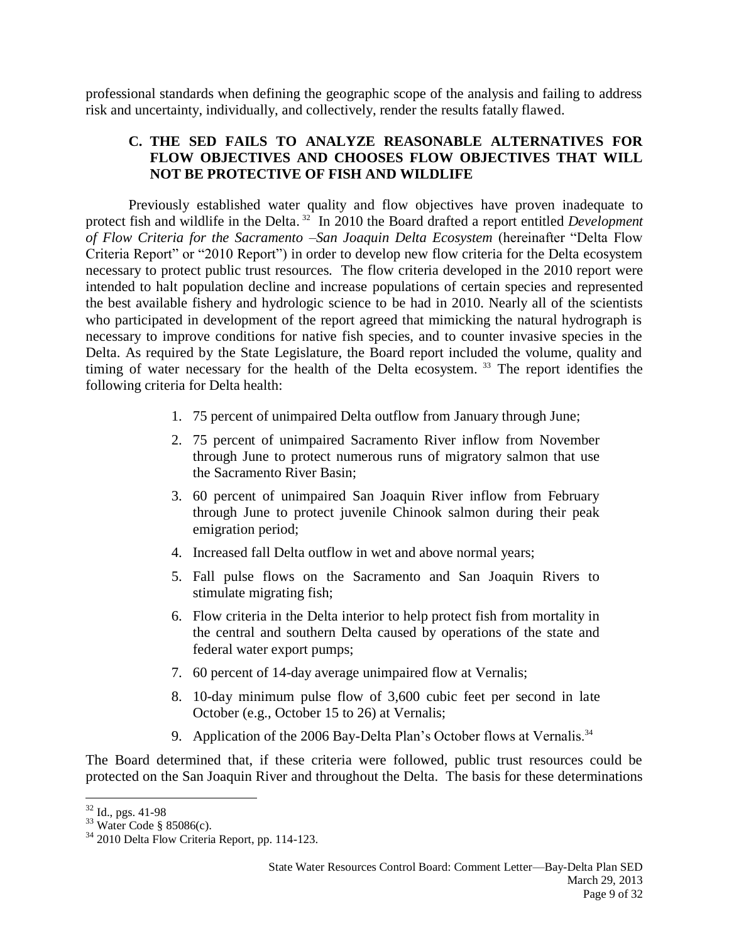professional standards when defining the geographic scope of the analysis and failing to address risk and uncertainty, individually, and collectively, render the results fatally flawed.

# **C. THE SED FAILS TO ANALYZE REASONABLE ALTERNATIVES FOR FLOW OBJECTIVES AND CHOOSES FLOW OBJECTIVES THAT WILL NOT BE PROTECTIVE OF FISH AND WILDLIFE**

Previously established water quality and flow objectives have proven inadequate to protect fish and wildlife in the Delta. 32 In 2010 the Board drafted a report entitled *Development of Flow Criteria for the Sacramento –San Joaquin Delta Ecosystem* (hereinafter "Delta Flow Criteria Report" or "2010 Report") in order to develop new flow criteria for the Delta ecosystem necessary to protect public trust resources. The flow criteria developed in the 2010 report were intended to halt population decline and increase populations of certain species and represented the best available fishery and hydrologic science to be had in 2010. Nearly all of the scientists who participated in development of the report agreed that mimicking the natural hydrograph is necessary to improve conditions for native fish species, and to counter invasive species in the Delta. As required by the State Legislature, the Board report included the volume, quality and timing of water necessary for the health of the Delta ecosystem.<sup>33</sup> The report identifies the following criteria for Delta health:

- 1. 75 percent of unimpaired Delta outflow from January through June;
- 2. 75 percent of unimpaired Sacramento River inflow from November through June to protect numerous runs of migratory salmon that use the Sacramento River Basin;
- 3. 60 percent of unimpaired San Joaquin River inflow from February through June to protect juvenile Chinook salmon during their peak emigration period;
- 4. Increased fall Delta outflow in wet and above normal years;
- 5. Fall pulse flows on the Sacramento and San Joaquin Rivers to stimulate migrating fish;
- 6. Flow criteria in the Delta interior to help protect fish from mortality in the central and southern Delta caused by operations of the state and federal water export pumps;
- 7. 60 percent of 14-day average unimpaired flow at Vernalis;
- 8. 10-day minimum pulse flow of 3,600 cubic feet per second in late October (e.g., October 15 to 26) at Vernalis;
- 9. Application of the 2006 Bay-Delta Plan's October flows at Vernalis.<sup>34</sup>

The Board determined that, if these criteria were followed, public trust resources could be protected on the San Joaquin River and throughout the Delta. The basis for these determinations

 $\overline{a}$  $32$  Id., pgs. 41-98

<sup>33</sup> Water Code § 85086(c).

<sup>34</sup> 2010 Delta Flow Criteria Report, pp. 114-123.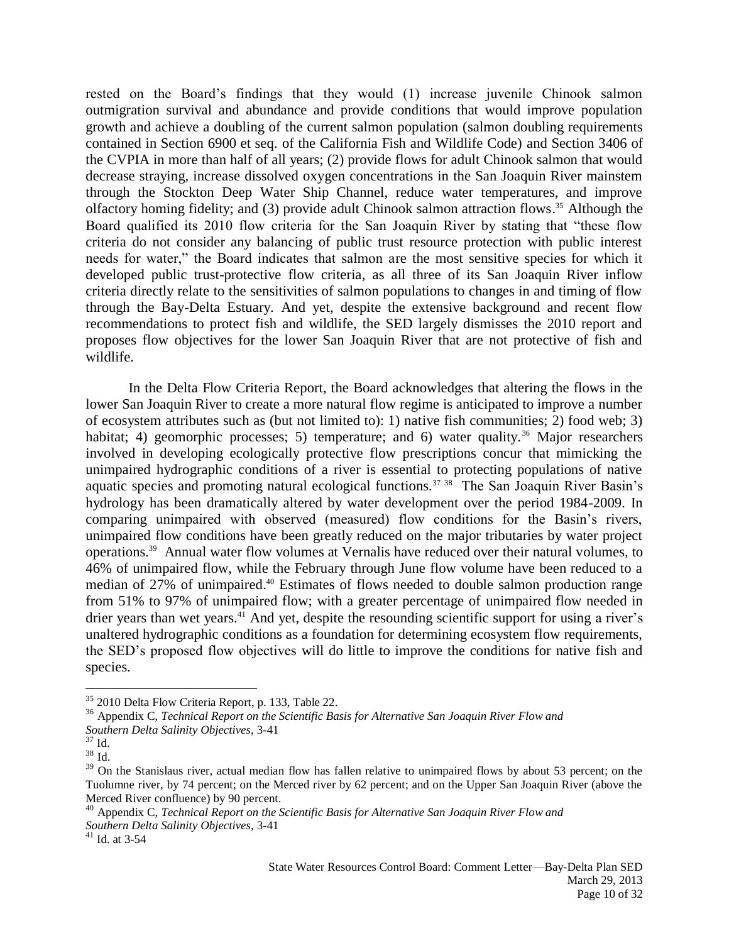rested on the Board's findings that they would (1) increase juvenile Chinook salmon outmigration survival and abundance and provide conditions that would improve population growth and achieve a doubling of the current salmon population (salmon doubling requirements contained in Section 6900 et seq. of the California Fish and Wildlife Code) and Section 3406 of the CVPIA in more than half of all years; (2) provide flows for adult Chinook salmon that would decrease straying, increase dissolved oxygen concentrations in the San Joaquin River mainstem through the Stockton Deep Water Ship Channel, reduce water temperatures, and improve olfactory homing fidelity; and (3) provide adult Chinook salmon attraction flows. <sup>35</sup> Although the Board qualified its 2010 flow criteria for the San Joaquin River by stating that "these flow criteria do not consider any balancing of public trust resource protection with public interest needs for water," the Board indicates that salmon are the most sensitive species for which it developed public trust-protective flow criteria, as all three of its San Joaquin River inflow criteria directly relate to the sensitivities of salmon populations to changes in and timing of flow through the Bay-Delta Estuary. And yet, despite the extensive background and recent flow recommendations to protect fish and wildlife, the SED largely dismisses the 2010 report and proposes flow objectives for the lower San Joaquin River that are not protective of fish and wildlife.

In the Delta Flow Criteria Report, the Board acknowledges that altering the flows in the lower San Joaquin River to create a more natural flow regime is anticipated to improve a number of ecosystem attributes such as (but not limited to): 1) native fish communities; 2) food web; 3) habitat; 4) geomorphic processes; 5) temperature; and 6) water quality.<sup>36</sup> Major researchers involved in developing ecologically protective flow prescriptions concur that mimicking the unimpaired hydrographic conditions of a river is essential to protecting populations of native aquatic species and promoting natural ecological functions.<sup>37</sup> <sup>38</sup> The San Joaquin River Basin's hydrology has been dramatically altered by water development over the period 1984-2009. In comparing unimpaired with observed (measured) flow conditions for the Basin's rivers, unimpaired flow conditions have been greatly reduced on the major tributaries by water project operations.<sup>39</sup> Annual water flow volumes at Vernalis have reduced over their natural volumes, to 46% of unimpaired flow, while the February through June flow volume have been reduced to a median of 27% of unimpaired. <sup>40</sup> Estimates of flows needed to double salmon production range from 51% to 97% of unimpaired flow; with a greater percentage of unimpaired flow needed in drier years than wet years.<sup>41</sup> And yet, despite the resounding scientific support for using a river's unaltered hydrographic conditions as a foundation for determining ecosystem flow requirements, the SED's proposed flow objectives will do little to improve the conditions for native fish and species.

<sup>36</sup> Appendix C, *Technical Report on the Scientific Basis for Alternative San Joaquin River Flow and*

<sup>35</sup> 2010 Delta Flow Criteria Report, p. 133, Table 22.

*Southern Delta Salinity Objectives*, 3-41

 $37$  Id.

 $38 \overline{1d}$ 

<sup>&</sup>lt;sup>39</sup> On the Stanislaus river, actual median flow has fallen relative to unimpaired flows by about 53 percent; on the Tuolumne river, by 74 percent; on the Merced river by 62 percent; and on the Upper San Joaquin River (above the Merced River confluence) by 90 percent.

<sup>40</sup> Appendix C, *Technical Report on the Scientific Basis for Alternative San Joaquin River Flow and Southern Delta Salinity Objectives*, 3-41

 $41$  Id. at 3-54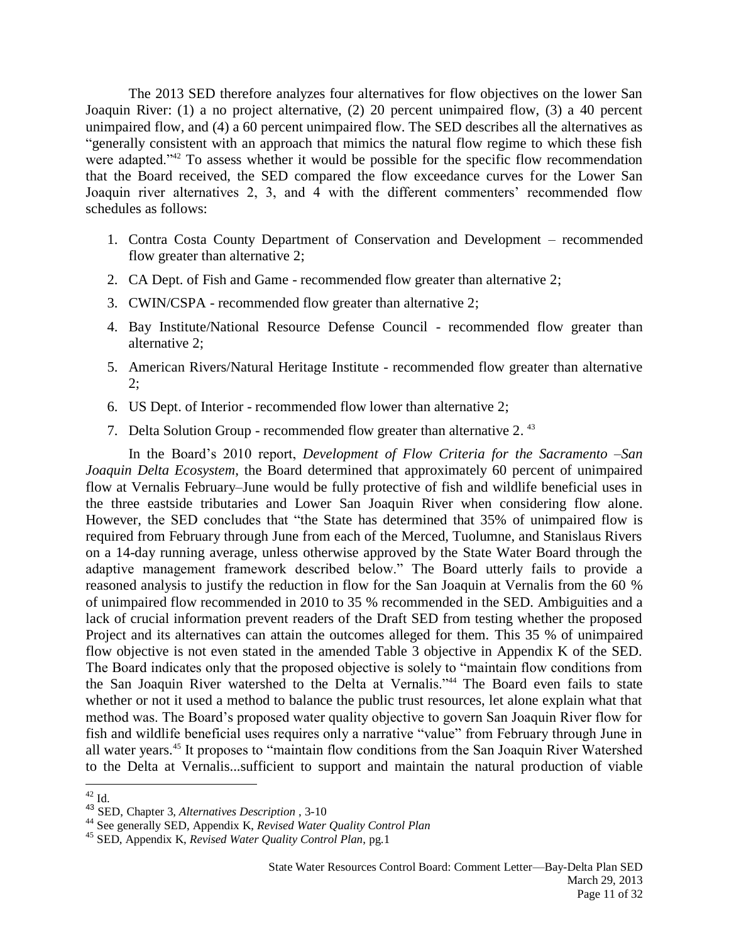The 2013 SED therefore analyzes four alternatives for flow objectives on the lower San Joaquin River: (1) a no project alternative, (2) 20 percent unimpaired flow, (3) a 40 percent unimpaired flow, and (4) a 60 percent unimpaired flow. The SED describes all the alternatives as "generally consistent with an approach that mimics the natural flow regime to which these fish were adapted."<sup>42</sup> To assess whether it would be possible for the specific flow recommendation that the Board received, the SED compared the flow exceedance curves for the Lower San Joaquin river alternatives 2, 3, and 4 with the different commenters' recommended flow schedules as follows:

- 1. Contra Costa County Department of Conservation and Development recommended flow greater than alternative 2;
- 2. CA Dept. of Fish and Game recommended flow greater than alternative 2;
- 3. CWIN/CSPA recommended flow greater than alternative 2;
- 4. Bay Institute/National Resource Defense Council recommended flow greater than alternative 2;
- 5. American Rivers/Natural Heritage Institute recommended flow greater than alternative 2;
- 6. US Dept. of Interior recommended flow lower than alternative 2;
- 7. Delta Solution Group recommended flow greater than alternative 2.<sup>43</sup>

In the Board's 2010 report, *Development of Flow Criteria for the Sacramento –San Joaquin Delta Ecosystem*, the Board determined that approximately 60 percent of unimpaired flow at Vernalis February–June would be fully protective of fish and wildlife beneficial uses in the three eastside tributaries and Lower San Joaquin River when considering flow alone. However, the SED concludes that "the State has determined that 35% of unimpaired flow is required from February through June from each of the Merced, Tuolumne, and Stanislaus Rivers on a 14-day running average, unless otherwise approved by the State Water Board through the adaptive management framework described below." The Board utterly fails to provide a reasoned analysis to justify the reduction in flow for the San Joaquin at Vernalis from the 60 % of unimpaired flow recommended in 2010 to 35 % recommended in the SED. Ambiguities and a lack of crucial information prevent readers of the Draft SED from testing whether the proposed Project and its alternatives can attain the outcomes alleged for them. This 35 % of unimpaired flow objective is not even stated in the amended Table 3 objective in Appendix K of the SED. The Board indicates only that the proposed objective is solely to "maintain flow conditions from the San Joaquin River watershed to the Delta at Vernalis."<sup>44</sup> The Board even fails to state whether or not it used a method to balance the public trust resources, let alone explain what that method was. The Board's proposed water quality objective to govern San Joaquin River flow for fish and wildlife beneficial uses requires only a narrative "value" from February through June in all water years.<sup>45</sup> It proposes to "maintain flow conditions from the San Joaquin River Watershed to the Delta at Vernalis...sufficient to support and maintain the natural production of viable

 $\overline{a}$  $^{42}$  Id.

<sup>43</sup> SED, Chapter 3, *Alternatives Description* , 3-10

<sup>44</sup> See generally SED, Appendix K, *Revised Water Quality Control Plan*

<sup>45</sup> SED, Appendix K, *Revised Water Quality Control Plan*, pg.1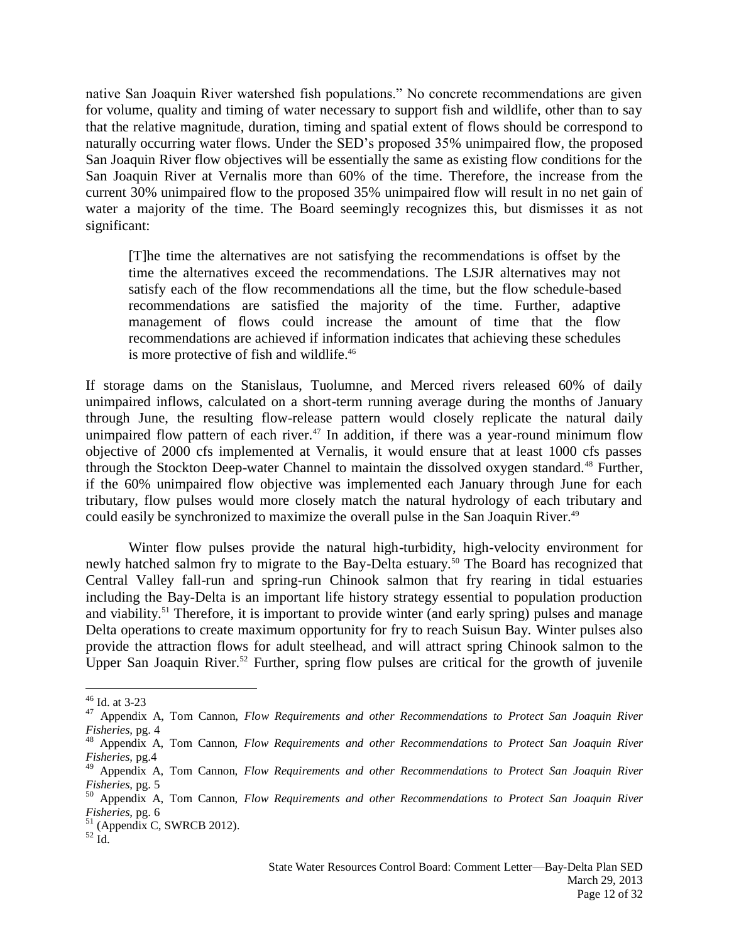native San Joaquin River watershed fish populations." No concrete recommendations are given for volume, quality and timing of water necessary to support fish and wildlife, other than to say that the relative magnitude, duration, timing and spatial extent of flows should be correspond to naturally occurring water flows. Under the SED's proposed 35% unimpaired flow, the proposed San Joaquin River flow objectives will be essentially the same as existing flow conditions for the San Joaquin River at Vernalis more than 60% of the time. Therefore, the increase from the current 30% unimpaired flow to the proposed 35% unimpaired flow will result in no net gain of water a majority of the time. The Board seemingly recognizes this, but dismisses it as not significant:

[T]he time the alternatives are not satisfying the recommendations is offset by the time the alternatives exceed the recommendations. The LSJR alternatives may not satisfy each of the flow recommendations all the time, but the flow schedule-based recommendations are satisfied the majority of the time. Further, adaptive management of flows could increase the amount of time that the flow recommendations are achieved if information indicates that achieving these schedules is more protective of fish and wildlife.<sup>46</sup>

If storage dams on the Stanislaus, Tuolumne, and Merced rivers released 60% of daily unimpaired inflows, calculated on a short-term running average during the months of January through June, the resulting flow-release pattern would closely replicate the natural daily unimpaired flow pattern of each river.<sup>47</sup> In addition, if there was a year-round minimum flow objective of 2000 cfs implemented at Vernalis, it would ensure that at least 1000 cfs passes through the Stockton Deep-water Channel to maintain the dissolved oxygen standard.<sup>48</sup> Further, if the 60% unimpaired flow objective was implemented each January through June for each tributary, flow pulses would more closely match the natural hydrology of each tributary and could easily be synchronized to maximize the overall pulse in the San Joaquin River.<sup>49</sup>

Winter flow pulses provide the natural high-turbidity, high-velocity environment for newly hatched salmon fry to migrate to the Bay-Delta estuary.<sup>50</sup> The Board has recognized that Central Valley fall-run and spring-run Chinook salmon that fry rearing in tidal estuaries including the Bay-Delta is an important life history strategy essential to population production and viability.<sup>51</sup> Therefore, it is important to provide winter (and early spring) pulses and manage Delta operations to create maximum opportunity for fry to reach Suisun Bay. Winter pulses also provide the attraction flows for adult steelhead, and will attract spring Chinook salmon to the Upper San Joaquin River.<sup>52</sup> Further, spring flow pulses are critical for the growth of juvenile

 $\overline{a}$  $46$  Id. at 3-23

<sup>47</sup> Appendix A, Tom Cannon, *Flow Requirements and other Recommendations to Protect San Joaquin River Fisheries,* pg. 4

<sup>48</sup> Appendix A, Tom Cannon, *Flow Requirements and other Recommendations to Protect San Joaquin River Fisheries,* pg.4

<sup>49</sup> Appendix A, Tom Cannon, *Flow Requirements and other Recommendations to Protect San Joaquin River Fisheries,* pg. 5

<sup>50</sup> Appendix A, Tom Cannon, *Flow Requirements and other Recommendations to Protect San Joaquin River Fisheries,* pg. 6

<sup>51</sup> (Appendix C, SWRCB 2012).

 $52 \text{ Id.}$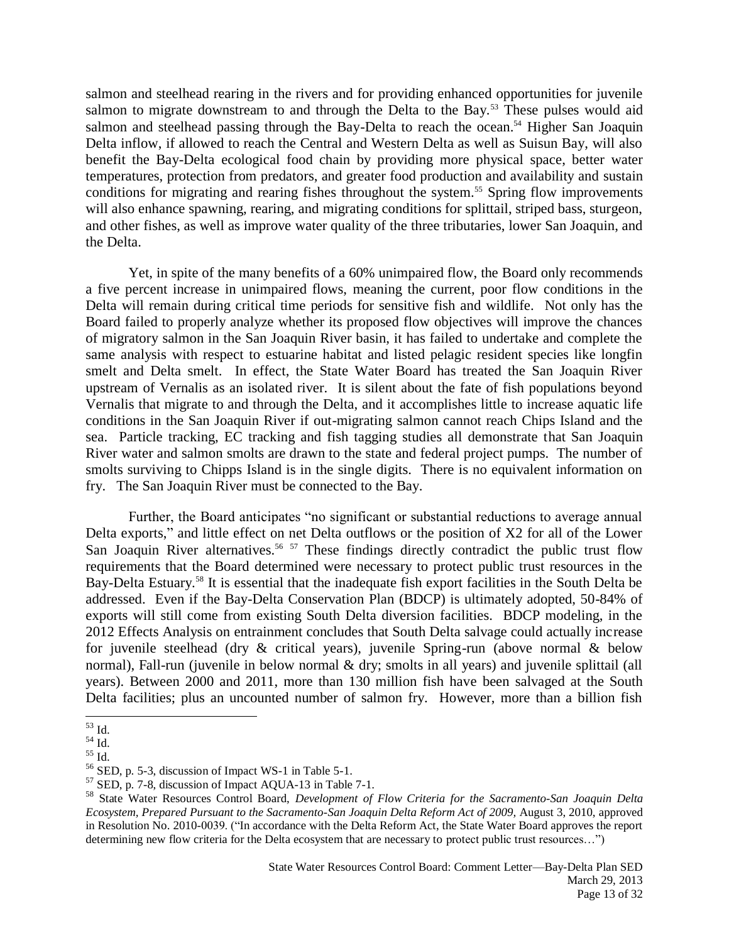salmon and steelhead rearing in the rivers and for providing enhanced opportunities for juvenile salmon to migrate downstream to and through the Delta to the Bay.<sup>53</sup> These pulses would aid salmon and steelhead passing through the Bay-Delta to reach the ocean.<sup>54</sup> Higher San Joaquin Delta inflow, if allowed to reach the Central and Western Delta as well as Suisun Bay, will also benefit the Bay-Delta ecological food chain by providing more physical space, better water temperatures, protection from predators, and greater food production and availability and sustain conditions for migrating and rearing fishes throughout the system.<sup>55</sup> Spring flow improvements will also enhance spawning, rearing, and migrating conditions for splittail, striped bass, sturgeon, and other fishes, as well as improve water quality of the three tributaries, lower San Joaquin, and the Delta.

Yet, in spite of the many benefits of a 60% unimpaired flow, the Board only recommends a five percent increase in unimpaired flows, meaning the current, poor flow conditions in the Delta will remain during critical time periods for sensitive fish and wildlife. Not only has the Board failed to properly analyze whether its proposed flow objectives will improve the chances of migratory salmon in the San Joaquin River basin, it has failed to undertake and complete the same analysis with respect to estuarine habitat and listed pelagic resident species like longfin smelt and Delta smelt. In effect, the State Water Board has treated the San Joaquin River upstream of Vernalis as an isolated river. It is silent about the fate of fish populations beyond Vernalis that migrate to and through the Delta, and it accomplishes little to increase aquatic life conditions in the San Joaquin River if out-migrating salmon cannot reach Chips Island and the sea. Particle tracking, EC tracking and fish tagging studies all demonstrate that San Joaquin River water and salmon smolts are drawn to the state and federal project pumps. The number of smolts surviving to Chipps Island is in the single digits. There is no equivalent information on fry. The San Joaquin River must be connected to the Bay.

Further, the Board anticipates "no significant or substantial reductions to average annual Delta exports," and little effect on net Delta outflows or the position of X2 for all of the Lower San Joaquin River alternatives.<sup>56 57</sup> These findings directly contradict the public trust flow requirements that the Board determined were necessary to protect public trust resources in the Bay-Delta Estuary.<sup>58</sup> It is essential that the inadequate fish export facilities in the South Delta be addressed. Even if the Bay-Delta Conservation Plan (BDCP) is ultimately adopted, 50-84% of exports will still come from existing South Delta diversion facilities. BDCP modeling, in the 2012 Effects Analysis on entrainment concludes that South Delta salvage could actually increase for juvenile steelhead (dry & critical years), juvenile Spring-run (above normal & below normal), Fall-run (juvenile in below normal & dry; smolts in all years) and juvenile splittail (all years). Between 2000 and 2011, more than 130 million fish have been salvaged at the South Delta facilities; plus an uncounted number of salmon fry. However, more than a billion fish

 $\overline{a}$  $^{53}$  Id.

 $54 \overline{1}d$ .

 $^{55}$  Id.  $\,$ 

<sup>56</sup> SED, p. 5-3, discussion of Impact WS-1 in Table 5-1.

<sup>57</sup> SED, p. 7-8, discussion of Impact AQUA-13 in Table 7-1.

<sup>58</sup> State Water Resources Control Board, *Development of Flow Criteria for the Sacramento-San Joaquin Delta Ecosystem, Prepared Pursuant to the Sacramento-San Joaquin Delta Reform Act of 2009,* August 3, 2010, approved in Resolution No. 2010-0039. ("In accordance with the Delta Reform Act, the State Water Board approves the report determining new flow criteria for the Delta ecosystem that are necessary to protect public trust resources…")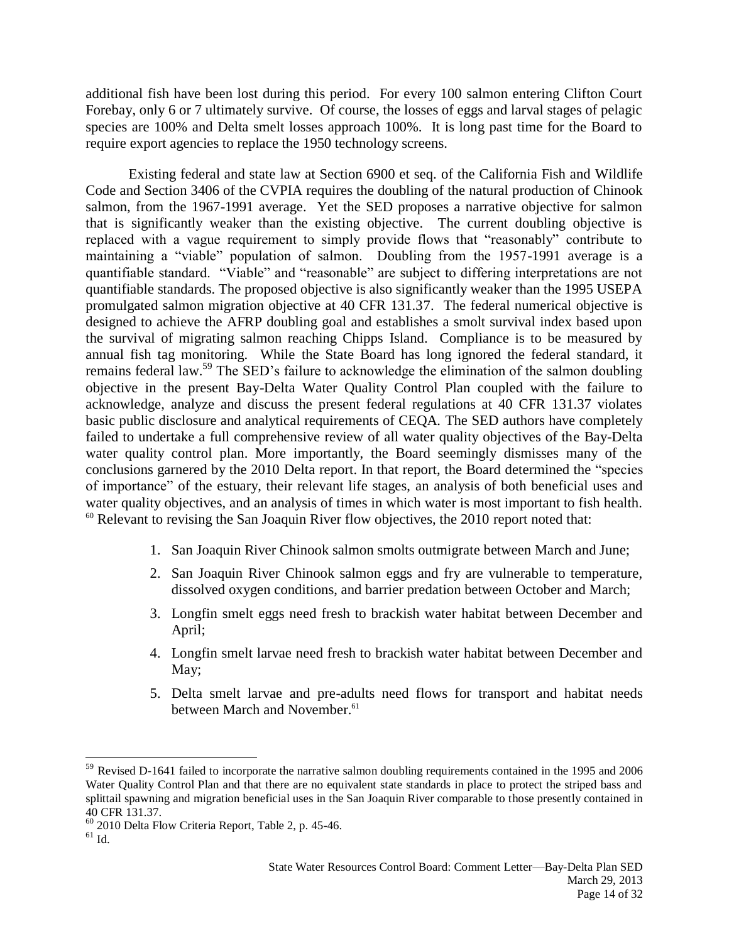additional fish have been lost during this period. For every 100 salmon entering Clifton Court Forebay, only 6 or 7 ultimately survive. Of course, the losses of eggs and larval stages of pelagic species are 100% and Delta smelt losses approach 100%. It is long past time for the Board to require export agencies to replace the 1950 technology screens.

Existing federal and state law at Section 6900 et seq. of the California Fish and Wildlife Code and Section 3406 of the CVPIA requires the doubling of the natural production of Chinook salmon, from the 1967-1991 average. Yet the SED proposes a narrative objective for salmon that is significantly weaker than the existing objective. The current doubling objective is replaced with a vague requirement to simply provide flows that "reasonably" contribute to maintaining a "viable" population of salmon. Doubling from the 1957-1991 average is a quantifiable standard. "Viable" and "reasonable" are subject to differing interpretations are not quantifiable standards. The proposed objective is also significantly weaker than the 1995 USEPA promulgated salmon migration objective at 40 CFR 131.37. The federal numerical objective is designed to achieve the AFRP doubling goal and establishes a smolt survival index based upon the survival of migrating salmon reaching Chipps Island. Compliance is to be measured by annual fish tag monitoring. While the State Board has long ignored the federal standard, it remains federal law.<sup>59</sup> The SED's failure to acknowledge the elimination of the salmon doubling objective in the present Bay-Delta Water Quality Control Plan coupled with the failure to acknowledge, analyze and discuss the present federal regulations at 40 CFR 131.37 violates basic public disclosure and analytical requirements of CEQA. The SED authors have completely failed to undertake a full comprehensive review of all water quality objectives of the Bay-Delta water quality control plan. More importantly, the Board seemingly dismisses many of the conclusions garnered by the 2010 Delta report. In that report, the Board determined the "species of importance" of the estuary, their relevant life stages, an analysis of both beneficial uses and water quality objectives, and an analysis of times in which water is most important to fish health.  $60$  Relevant to revising the San Joaquin River flow objectives, the 2010 report noted that:

- 1. San Joaquin River Chinook salmon smolts outmigrate between March and June;
- 2. San Joaquin River Chinook salmon eggs and fry are vulnerable to temperature, dissolved oxygen conditions, and barrier predation between October and March;
- 3. Longfin smelt eggs need fresh to brackish water habitat between December and April;
- 4. Longfin smelt larvae need fresh to brackish water habitat between December and May;
- 5. Delta smelt larvae and pre-adults need flows for transport and habitat needs between March and November.<sup>61</sup>

<sup>&</sup>lt;sup>59</sup> Revised D-1641 failed to incorporate the narrative salmon doubling requirements contained in the 1995 and 2006 Water Quality Control Plan and that there are no equivalent state standards in place to protect the striped bass and splittail spawning and migration beneficial uses in the San Joaquin River comparable to those presently contained in 40 CFR 131.37.

<sup>60</sup> 2010 Delta Flow Criteria Report, Table 2, p. 45-46.

 $^{61}$  Id.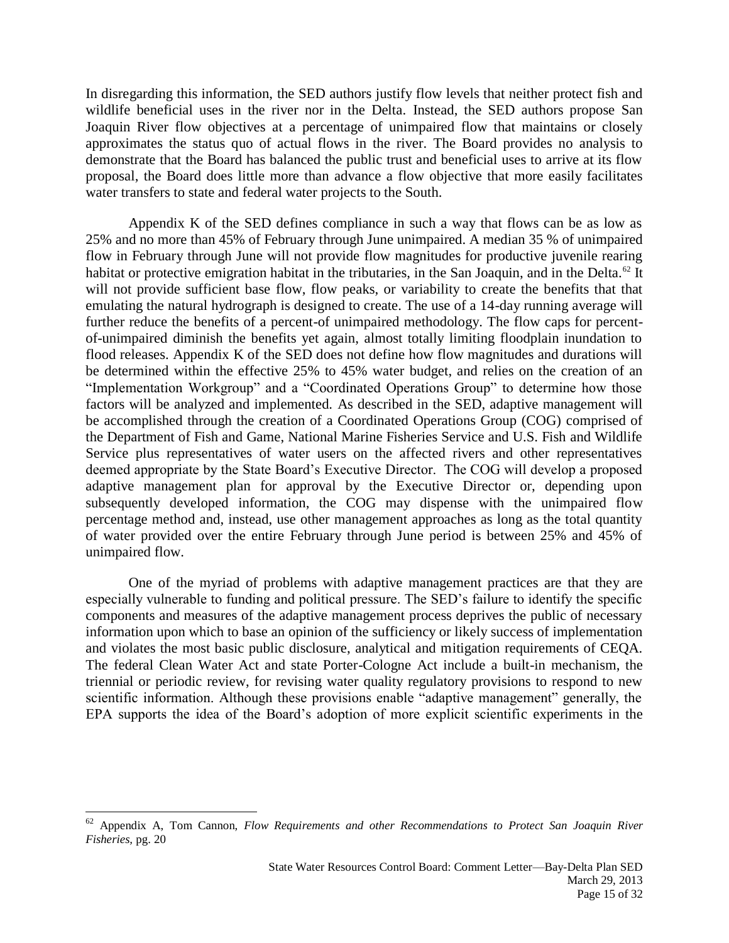In disregarding this information, the SED authors justify flow levels that neither protect fish and wildlife beneficial uses in the river nor in the Delta. Instead, the SED authors propose San Joaquin River flow objectives at a percentage of unimpaired flow that maintains or closely approximates the status quo of actual flows in the river. The Board provides no analysis to demonstrate that the Board has balanced the public trust and beneficial uses to arrive at its flow proposal, the Board does little more than advance a flow objective that more easily facilitates water transfers to state and federal water projects to the South.

Appendix K of the SED defines compliance in such a way that flows can be as low as 25% and no more than 45% of February through June unimpaired. A median 35 % of unimpaired flow in February through June will not provide flow magnitudes for productive juvenile rearing habitat or protective emigration habitat in the tributaries, in the San Joaquin, and in the Delta.<sup>62</sup> It will not provide sufficient base flow, flow peaks, or variability to create the benefits that that emulating the natural hydrograph is designed to create. The use of a 14-day running average will further reduce the benefits of a percent-of unimpaired methodology. The flow caps for percentof-unimpaired diminish the benefits yet again, almost totally limiting floodplain inundation to flood releases. Appendix K of the SED does not define how flow magnitudes and durations will be determined within the effective 25% to 45% water budget, and relies on the creation of an "Implementation Workgroup" and a "Coordinated Operations Group" to determine how those factors will be analyzed and implemented. As described in the SED, adaptive management will be accomplished through the creation of a Coordinated Operations Group (COG) comprised of the Department of Fish and Game, National Marine Fisheries Service and U.S. Fish and Wildlife Service plus representatives of water users on the affected rivers and other representatives deemed appropriate by the State Board's Executive Director. The COG will develop a proposed adaptive management plan for approval by the Executive Director or, depending upon subsequently developed information, the COG may dispense with the unimpaired flow percentage method and, instead, use other management approaches as long as the total quantity of water provided over the entire February through June period is between 25% and 45% of unimpaired flow.

One of the myriad of problems with adaptive management practices are that they are especially vulnerable to funding and political pressure. The SED's failure to identify the specific components and measures of the adaptive management process deprives the public of necessary information upon which to base an opinion of the sufficiency or likely success of implementation and violates the most basic public disclosure, analytical and mitigation requirements of CEQA. The federal Clean Water Act and state Porter-Cologne Act include a built-in mechanism, the triennial or periodic review, for revising water quality regulatory provisions to respond to new scientific information. Although these provisions enable "adaptive management" generally, the EPA supports the idea of the Board's adoption of more explicit scientific experiments in the

<sup>62</sup> Appendix A, Tom Cannon, *Flow Requirements and other Recommendations to Protect San Joaquin River Fisheries,* pg. 20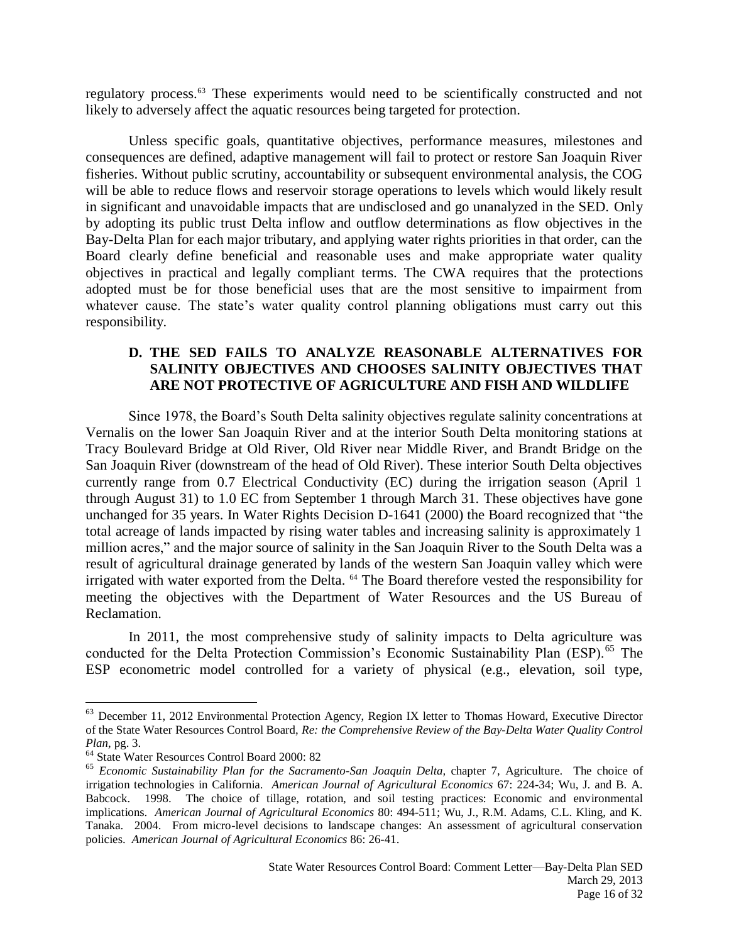regulatory process.<sup>63</sup> These experiments would need to be scientifically constructed and not likely to adversely affect the aquatic resources being targeted for protection.

Unless specific goals, quantitative objectives, performance measures, milestones and consequences are defined, adaptive management will fail to protect or restore San Joaquin River fisheries. Without public scrutiny, accountability or subsequent environmental analysis, the COG will be able to reduce flows and reservoir storage operations to levels which would likely result in significant and unavoidable impacts that are undisclosed and go unanalyzed in the SED. Only by adopting its public trust Delta inflow and outflow determinations as flow objectives in the Bay-Delta Plan for each major tributary, and applying water rights priorities in that order, can the Board clearly define beneficial and reasonable uses and make appropriate water quality objectives in practical and legally compliant terms. The CWA requires that the protections adopted must be for those beneficial uses that are the most sensitive to impairment from whatever cause. The state's water quality control planning obligations must carry out this responsibility.

# **D. THE SED FAILS TO ANALYZE REASONABLE ALTERNATIVES FOR SALINITY OBJECTIVES AND CHOOSES SALINITY OBJECTIVES THAT ARE NOT PROTECTIVE OF AGRICULTURE AND FISH AND WILDLIFE**

Since 1978, the Board's South Delta salinity objectives regulate salinity concentrations at Vernalis on the lower San Joaquin River and at the interior South Delta monitoring stations at Tracy Boulevard Bridge at Old River, Old River near Middle River, and Brandt Bridge on the San Joaquin River (downstream of the head of Old River). These interior South Delta objectives currently range from 0.7 Electrical Conductivity (EC) during the irrigation season (April 1 through August 31) to 1.0 EC from September 1 through March 31. These objectives have gone unchanged for 35 years. In Water Rights Decision D-1641 (2000) the Board recognized that "the total acreage of lands impacted by rising water tables and increasing salinity is approximately 1 million acres," and the major source of salinity in the San Joaquin River to the South Delta was a result of agricultural drainage generated by lands of the western San Joaquin valley which were irrigated with water exported from the Delta. <sup>64</sup> The Board therefore vested the responsibility for meeting the objectives with the Department of Water Resources and the US Bureau of Reclamation.

In 2011, the most comprehensive study of salinity impacts to Delta agriculture was conducted for the Delta Protection Commission's Economic Sustainability Plan (ESP).<sup>65</sup> The ESP econometric model controlled for a variety of physical (e.g., elevation, soil type,

<sup>&</sup>lt;sup>63</sup> December 11, 2012 Environmental Protection Agency, Region IX letter to Thomas Howard, Executive Director of the State Water Resources Control Board, *Re: the Comprehensive Review of the Bay-Delta Water Quality Control Plan*, pg. 3.

<sup>64</sup> State Water Resources Control Board 2000: 82

<sup>65</sup> *Economic Sustainability Plan for the Sacramento-San Joaquin Delta,* chapter 7, Agriculture. The choice of irrigation technologies in California. *American Journal of Agricultural Economics* 67: 224-34; Wu, J. and B. A. Babcock. 1998. The choice of tillage, rotation, and soil testing practices: Economic and environmental implications. *American Journal of Agricultural Economics* 80: 494-511; Wu, J., R.M. Adams, C.L. Kling, and K. Tanaka. 2004. From micro-level decisions to landscape changes: An assessment of agricultural conservation policies. *American Journal of Agricultural Economics* 86: 26-41.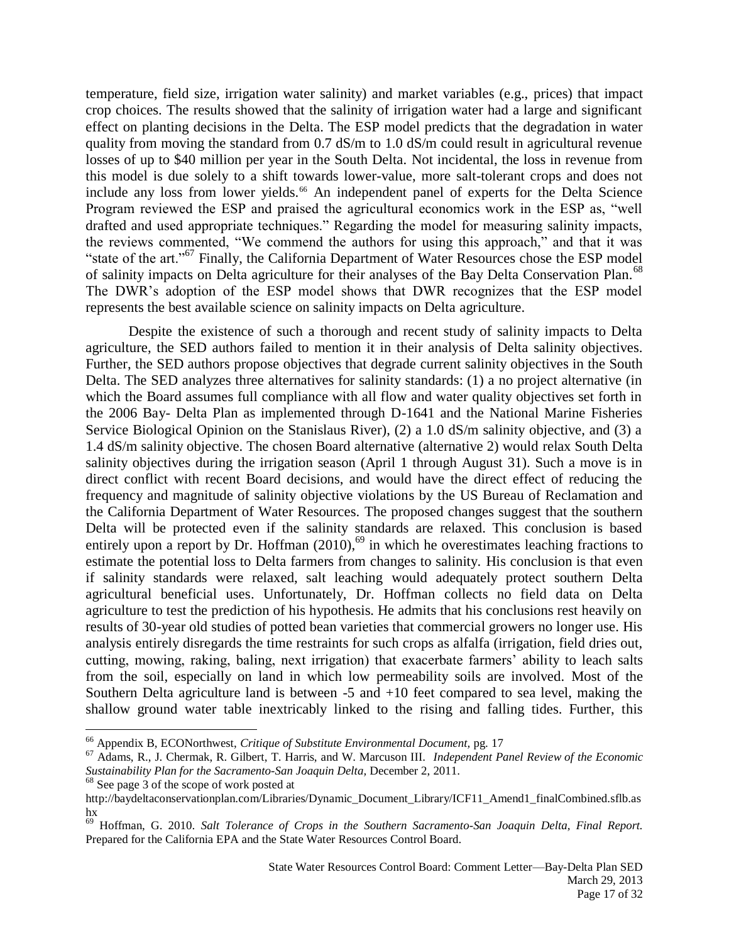temperature, field size, irrigation water salinity) and market variables (e.g., prices) that impact crop choices. The results showed that the salinity of irrigation water had a large and significant effect on planting decisions in the Delta. The ESP model predicts that the degradation in water quality from moving the standard from 0.7 dS/m to 1.0 dS/m could result in agricultural revenue losses of up to \$40 million per year in the South Delta. Not incidental, the loss in revenue from this model is due solely to a shift towards lower-value, more salt-tolerant crops and does not include any loss from lower yields.<sup>66</sup> An independent panel of experts for the Delta Science Program reviewed the ESP and praised the agricultural economics work in the ESP as, "well drafted and used appropriate techniques." Regarding the model for measuring salinity impacts, the reviews commented, "We commend the authors for using this approach," and that it was "state of the art."<sup>67</sup> Finally, the California Department of Water Resources chose the ESP model of salinity impacts on Delta agriculture for their analyses of the Bay Delta Conservation Plan.<sup>68</sup> The DWR's adoption of the ESP model shows that DWR recognizes that the ESP model represents the best available science on salinity impacts on Delta agriculture.

Despite the existence of such a thorough and recent study of salinity impacts to Delta agriculture, the SED authors failed to mention it in their analysis of Delta salinity objectives. Further, the SED authors propose objectives that degrade current salinity objectives in the South Delta. The SED analyzes three alternatives for salinity standards: (1) a no project alternative (in which the Board assumes full compliance with all flow and water quality objectives set forth in the 2006 Bay- Delta Plan as implemented through D-1641 and the National Marine Fisheries Service Biological Opinion on the Stanislaus River), (2) a 1.0 dS/m salinity objective, and (3) a 1.4 dS/m salinity objective. The chosen Board alternative (alternative 2) would relax South Delta salinity objectives during the irrigation season (April 1 through August 31). Such a move is in direct conflict with recent Board decisions, and would have the direct effect of reducing the frequency and magnitude of salinity objective violations by the US Bureau of Reclamation and the California Department of Water Resources. The proposed changes suggest that the southern Delta will be protected even if the salinity standards are relaxed. This conclusion is based entirely upon a report by Dr. Hoffman  $(2010)$ ,<sup>69</sup> in which he overestimates leaching fractions to estimate the potential loss to Delta farmers from changes to salinity. His conclusion is that even if salinity standards were relaxed, salt leaching would adequately protect southern Delta agricultural beneficial uses. Unfortunately, Dr. Hoffman collects no field data on Delta agriculture to test the prediction of his hypothesis. He admits that his conclusions rest heavily on results of 30-year old studies of potted bean varieties that commercial growers no longer use. His analysis entirely disregards the time restraints for such crops as alfalfa (irrigation, field dries out, cutting, mowing, raking, baling, next irrigation) that exacerbate farmers' ability to leach salts from the soil, especially on land in which low permeability soils are involved. Most of the Southern Delta agriculture land is between -5 and +10 feet compared to sea level, making the shallow ground water table inextricably linked to the rising and falling tides. Further, this

<sup>66</sup> Appendix B, ECONorthwest, *Critique of Substitute Environmental Document,* pg. 17

<sup>67</sup> Adams, R., J. Chermak, R. Gilbert, T. Harris, and W. Marcuson III. *Independent Panel Review of the Economic Sustainability Plan for the Sacramento-San Joaquin Delta,* December 2, 2011.

<sup>&</sup>lt;sup>68</sup> See page 3 of the scope of work posted at

http://baydeltaconservationplan.com/Libraries/Dynamic\_Document\_Library/ICF11\_Amend1\_finalCombined.sflb.as hx

<sup>69</sup> Hoffman, G. 2010. *Salt Tolerance of Crops in the Southern Sacramento-San Joaquin Delta, Final Report.* Prepared for the California EPA and the State Water Resources Control Board.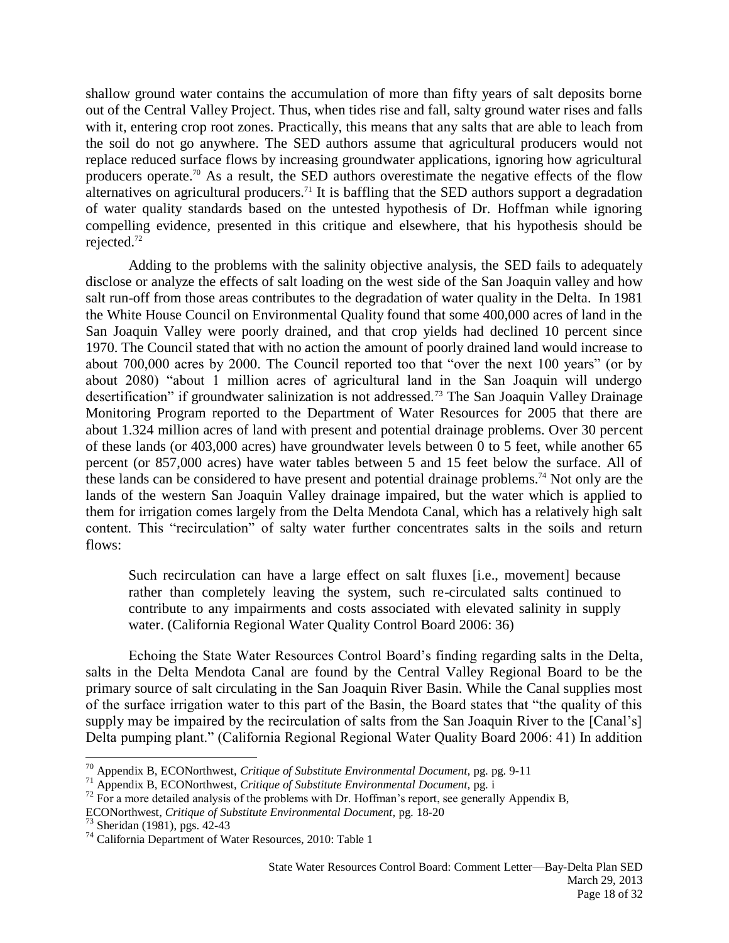shallow ground water contains the accumulation of more than fifty years of salt deposits borne out of the Central Valley Project. Thus, when tides rise and fall, salty ground water rises and falls with it, entering crop root zones. Practically, this means that any salts that are able to leach from the soil do not go anywhere. The SED authors assume that agricultural producers would not replace reduced surface flows by increasing groundwater applications, ignoring how agricultural producers operate.<sup>70</sup> As a result, the SED authors overestimate the negative effects of the flow alternatives on agricultural producers.<sup>71</sup> It is baffling that the SED authors support a degradation of water quality standards based on the untested hypothesis of Dr. Hoffman while ignoring compelling evidence, presented in this critique and elsewhere, that his hypothesis should be rejected.<sup>72</sup>

Adding to the problems with the salinity objective analysis, the SED fails to adequately disclose or analyze the effects of salt loading on the west side of the San Joaquin valley and how salt run-off from those areas contributes to the degradation of water quality in the Delta. In 1981 the White House Council on Environmental Quality found that some 400,000 acres of land in the San Joaquin Valley were poorly drained, and that crop yields had declined 10 percent since 1970. The Council stated that with no action the amount of poorly drained land would increase to about 700,000 acres by 2000. The Council reported too that "over the next 100 years" (or by about 2080) "about 1 million acres of agricultural land in the San Joaquin will undergo desertification" if groundwater salinization is not addressed.<sup>73</sup> The San Joaquin Valley Drainage Monitoring Program reported to the Department of Water Resources for 2005 that there are about 1.324 million acres of land with present and potential drainage problems. Over 30 percent of these lands (or 403,000 acres) have groundwater levels between 0 to 5 feet, while another 65 percent (or 857,000 acres) have water tables between 5 and 15 feet below the surface. All of these lands can be considered to have present and potential drainage problems.<sup>74</sup> Not only are the lands of the western San Joaquin Valley drainage impaired, but the water which is applied to them for irrigation comes largely from the Delta Mendota Canal, which has a relatively high salt content. This "recirculation" of salty water further concentrates salts in the soils and return flows:

Such recirculation can have a large effect on salt fluxes [i.e., movement] because rather than completely leaving the system, such re-circulated salts continued to contribute to any impairments and costs associated with elevated salinity in supply water. (California Regional Water Quality Control Board 2006: 36)

Echoing the State Water Resources Control Board's finding regarding salts in the Delta, salts in the Delta Mendota Canal are found by the Central Valley Regional Board to be the primary source of salt circulating in the San Joaquin River Basin. While the Canal supplies most of the surface irrigation water to this part of the Basin, the Board states that "the quality of this supply may be impaired by the recirculation of salts from the San Joaquin River to the [Canal's] Delta pumping plant." (California Regional Regional Water Quality Board 2006: 41) In addition

<sup>70</sup> Appendix B, ECONorthwest, *Critique of Substitute Environmental Document,* pg. pg. 9-11

<sup>71</sup> Appendix B, ECONorthwest, *Critique of Substitute Environmental Document,* pg. i

 $72$  For a more detailed analysis of the problems with Dr. Hoffman's report, see generally Appendix B,

ECONorthwest, *Critique of Substitute Environmental Document,* pg. 18-20

<sup>73</sup> Sheridan (1981), pgs. 42-43

<sup>74</sup> California Department of Water Resources, 2010: Table 1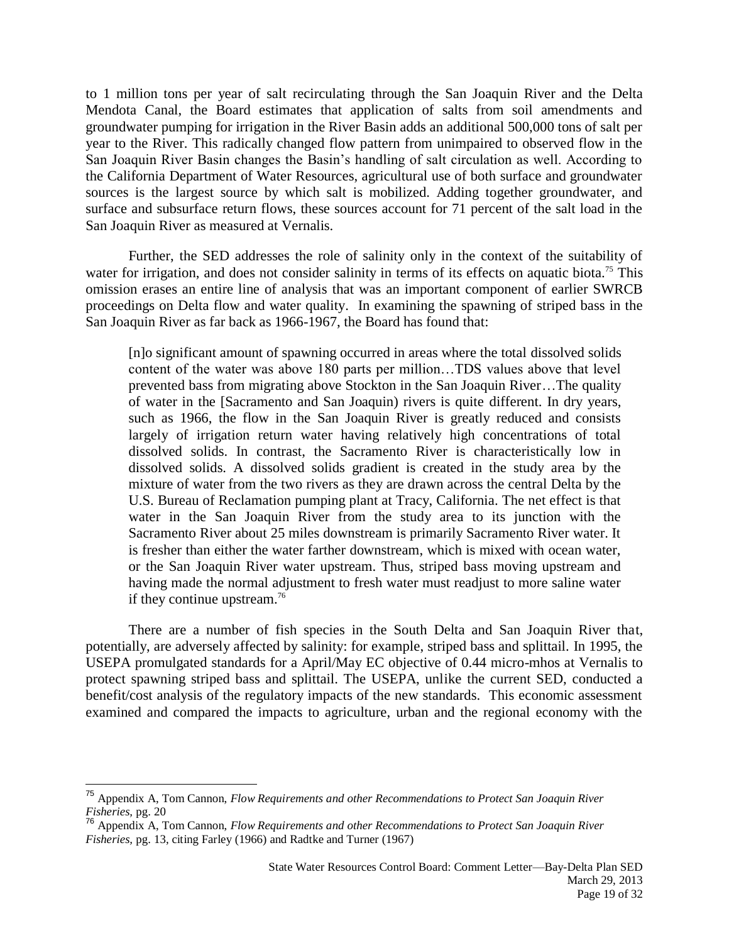to 1 million tons per year of salt recirculating through the San Joaquin River and the Delta Mendota Canal, the Board estimates that application of salts from soil amendments and groundwater pumping for irrigation in the River Basin adds an additional 500,000 tons of salt per year to the River. This radically changed flow pattern from unimpaired to observed flow in the San Joaquin River Basin changes the Basin's handling of salt circulation as well. According to the California Department of Water Resources, agricultural use of both surface and groundwater sources is the largest source by which salt is mobilized. Adding together groundwater, and surface and subsurface return flows, these sources account for 71 percent of the salt load in the San Joaquin River as measured at Vernalis.

Further, the SED addresses the role of salinity only in the context of the suitability of water for irrigation, and does not consider salinity in terms of its effects on aquatic biota.<sup>75</sup> This omission erases an entire line of analysis that was an important component of earlier SWRCB proceedings on Delta flow and water quality. In examining the spawning of striped bass in the San Joaquin River as far back as 1966-1967, the Board has found that:

[n]o significant amount of spawning occurred in areas where the total dissolved solids content of the water was above 180 parts per million…TDS values above that level prevented bass from migrating above Stockton in the San Joaquin River…The quality of water in the [Sacramento and San Joaquin) rivers is quite different. In dry years, such as 1966, the flow in the San Joaquin River is greatly reduced and consists largely of irrigation return water having relatively high concentrations of total dissolved solids. In contrast, the Sacramento River is characteristically low in dissolved solids. A dissolved solids gradient is created in the study area by the mixture of water from the two rivers as they are drawn across the central Delta by the U.S. Bureau of Reclamation pumping plant at Tracy, California. The net effect is that water in the San Joaquin River from the study area to its junction with the Sacramento River about 25 miles downstream is primarily Sacramento River water. It is fresher than either the water farther downstream, which is mixed with ocean water, or the San Joaquin River water upstream. Thus, striped bass moving upstream and having made the normal adjustment to fresh water must readjust to more saline water if they continue upstream.<sup>76</sup>

There are a number of fish species in the South Delta and San Joaquin River that, potentially, are adversely affected by salinity: for example, striped bass and splittail. In 1995, the USEPA promulgated standards for a April/May EC objective of 0.44 micro-mhos at Vernalis to protect spawning striped bass and splittail. The USEPA, unlike the current SED, conducted a benefit/cost analysis of the regulatory impacts of the new standards. This economic assessment examined and compared the impacts to agriculture, urban and the regional economy with the

<sup>75</sup> Appendix A, Tom Cannon, *Flow Requirements and other Recommendations to Protect San Joaquin River Fisheries,* pg. 20

<sup>76</sup> Appendix A, Tom Cannon, *Flow Requirements and other Recommendations to Protect San Joaquin River Fisheries,* pg. 13, citing Farley (1966) and Radtke and Turner (1967)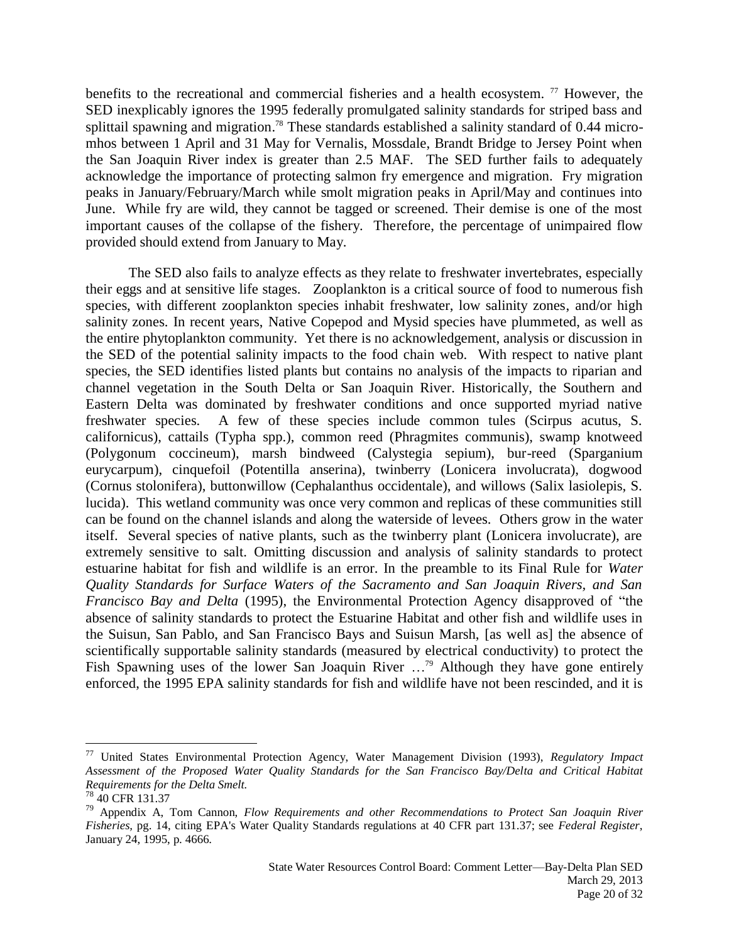benefits to the recreational and commercial fisheries and a health ecosystem.  $\frac{7}{7}$  However, the SED inexplicably ignores the 1995 federally promulgated salinity standards for striped bass and splittail spawning and migration. <sup>78</sup> These standards established a salinity standard of 0.44 micromhos between 1 April and 31 May for Vernalis, Mossdale, Brandt Bridge to Jersey Point when the San Joaquin River index is greater than 2.5 MAF. The SED further fails to adequately acknowledge the importance of protecting salmon fry emergence and migration. Fry migration peaks in January/February/March while smolt migration peaks in April/May and continues into June. While fry are wild, they cannot be tagged or screened. Their demise is one of the most important causes of the collapse of the fishery. Therefore, the percentage of unimpaired flow provided should extend from January to May.

The SED also fails to analyze effects as they relate to freshwater invertebrates, especially their eggs and at sensitive life stages. Zooplankton is a critical source of food to numerous fish species, with different zooplankton species inhabit freshwater, low salinity zones, and/or high salinity zones. In recent years, Native Copepod and Mysid species have plummeted, as well as the entire phytoplankton community. Yet there is no acknowledgement, analysis or discussion in the SED of the potential salinity impacts to the food chain web. With respect to native plant species, the SED identifies listed plants but contains no analysis of the impacts to riparian and channel vegetation in the South Delta or San Joaquin River. Historically, the Southern and Eastern Delta was dominated by freshwater conditions and once supported myriad native freshwater species. A few of these species include common tules (Scirpus acutus, S. californicus), cattails (Typha spp.), common reed (Phragmites communis), swamp knotweed (Polygonum coccineum), marsh bindweed (Calystegia sepium), bur-reed (Sparganium eurycarpum), cinquefoil (Potentilla anserina), twinberry (Lonicera involucrata), dogwood (Cornus stolonifera), buttonwillow (Cephalanthus occidentale), and willows (Salix lasiolepis, S. lucida). This wetland community was once very common and replicas of these communities still can be found on the channel islands and along the waterside of levees. Others grow in the water itself. Several species of native plants, such as the twinberry plant (Lonicera involucrate), are extremely sensitive to salt. Omitting discussion and analysis of salinity standards to protect estuarine habitat for fish and wildlife is an error. In the preamble to its Final Rule for *Water Quality Standards for Surface Waters of the Sacramento and San Joaquin Rivers, and San Francisco Bay and Delta* (1995), the Environmental Protection Agency disapproved of "the absence of salinity standards to protect the Estuarine Habitat and other fish and wildlife uses in the Suisun, San Pablo, and San Francisco Bays and Suisun Marsh, [as well as] the absence of scientifically supportable salinity standards (measured by electrical conductivity) to protect the Fish Spawning uses of the lower San Joaquin River  $\ldots$ <sup>79</sup> Although they have gone entirely enforced, the 1995 EPA salinity standards for fish and wildlife have not been rescinded, and it is

<sup>77</sup> United States Environmental Protection Agency, Water Management Division (1993), *Regulatory Impact Assessment of the Proposed Water Quality Standards for the San Francisco Bay/Delta and Critical Habitat Requirements for the Delta Smelt.*

<sup>78</sup> 40 CFR 131.37

<sup>79</sup> Appendix A, Tom Cannon, *Flow Requirements and other Recommendations to Protect San Joaquin River Fisheries,* pg. 14, citing EPA's Water Quality Standards regulations at 40 CFR part 131.37; see *Federal Register*, January 24, 1995, p. 4666.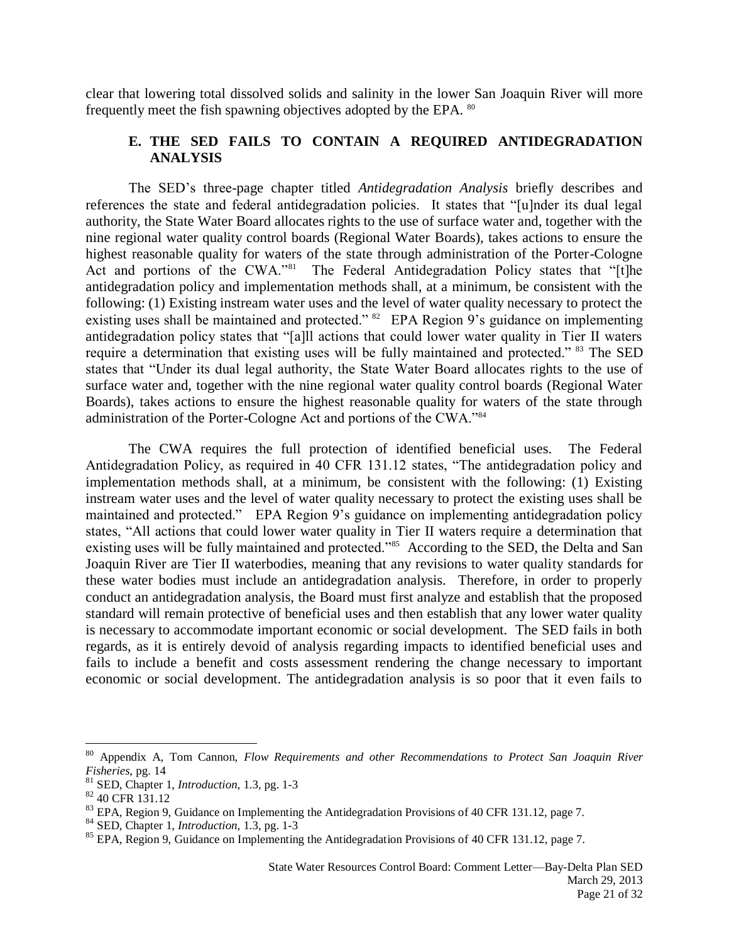clear that lowering total dissolved solids and salinity in the lower San Joaquin River will more frequently meet the fish spawning objectives adopted by the EPA. <sup>80</sup>

# **E. THE SED FAILS TO CONTAIN A REQUIRED ANTIDEGRADATION ANALYSIS**

The SED's three-page chapter titled *Antidegradation Analysis* briefly describes and references the state and federal antidegradation policies. It states that "[u]nder its dual legal authority, the State Water Board allocates rights to the use of surface water and, together with the nine regional water quality control boards (Regional Water Boards), takes actions to ensure the highest reasonable quality for waters of the state through administration of the Porter-Cologne Act and portions of the CWA."<sup>81</sup> The Federal Antidegradation Policy states that "[t]he antidegradation policy and implementation methods shall, at a minimum, be consistent with the following: (1) Existing instream water uses and the level of water quality necessary to protect the existing uses shall be maintained and protected."  $82$  EPA Region 9's guidance on implementing antidegradation policy states that "[a]ll actions that could lower water quality in Tier II waters require a determination that existing uses will be fully maintained and protected." <sup>83</sup> The SED states that "Under its dual legal authority, the State Water Board allocates rights to the use of surface water and, together with the nine regional water quality control boards (Regional Water Boards), takes actions to ensure the highest reasonable quality for waters of the state through administration of the Porter-Cologne Act and portions of the CWA."84

The CWA requires the full protection of identified beneficial uses. The Federal Antidegradation Policy, as required in 40 CFR 131.12 states, "The antidegradation policy and implementation methods shall, at a minimum, be consistent with the following: (1) Existing instream water uses and the level of water quality necessary to protect the existing uses shall be maintained and protected." EPA Region 9's guidance on implementing antidegradation policy states, "All actions that could lower water quality in Tier II waters require a determination that existing uses will be fully maintained and protected."<sup>85</sup> According to the SED, the Delta and San Joaquin River are Tier II waterbodies, meaning that any revisions to water quality standards for these water bodies must include an antidegradation analysis. Therefore, in order to properly conduct an antidegradation analysis, the Board must first analyze and establish that the proposed standard will remain protective of beneficial uses and then establish that any lower water quality is necessary to accommodate important economic or social development. The SED fails in both regards, as it is entirely devoid of analysis regarding impacts to identified beneficial uses and fails to include a benefit and costs assessment rendering the change necessary to important economic or social development. The antidegradation analysis is so poor that it even fails to

<sup>80</sup> Appendix A, Tom Cannon, *Flow Requirements and other Recommendations to Protect San Joaquin River Fisheries,* pg. 14

<sup>81</sup> SED, Chapter 1, *Introduction,* 1.3, pg. 1-3

<sup>82</sup> 40 CFR 131.12

 $83$  EPA, Region 9, Guidance on Implementing the Antidegradation Provisions of 40 CFR 131.12, page 7.

<sup>84</sup> SED, Chapter 1, *Introduction,* 1.3, pg. 1-3

<sup>&</sup>lt;sup>85</sup> EPA, Region 9, Guidance on Implementing the Antidegradation Provisions of 40 CFR 131.12, page 7.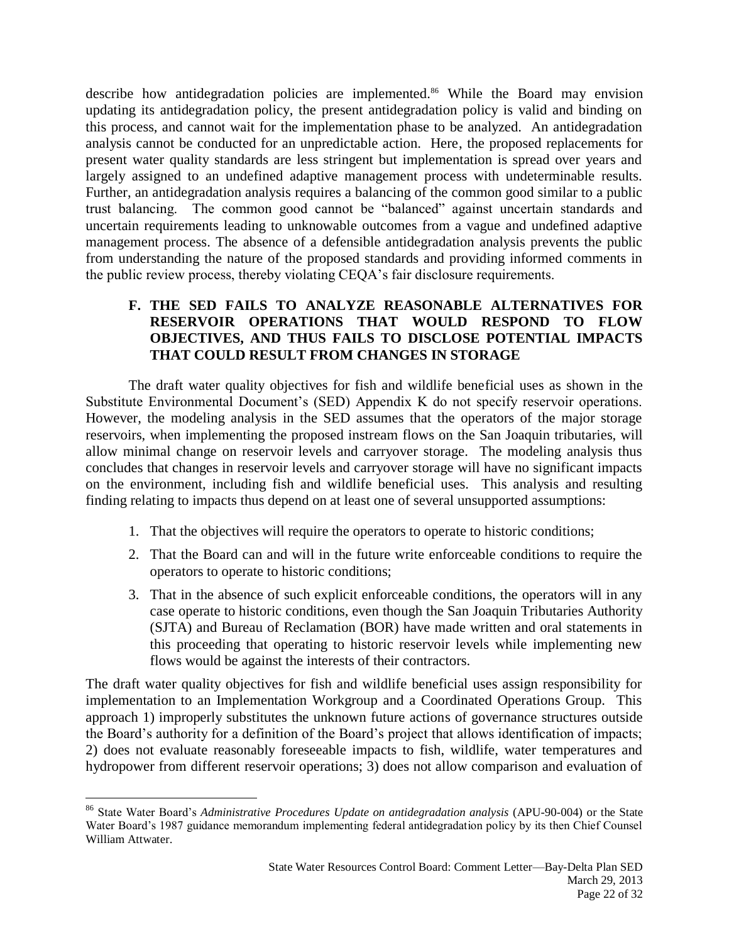describe how antidegradation policies are implemented.<sup>86</sup> While the Board may envision updating its antidegradation policy, the present antidegradation policy is valid and binding on this process, and cannot wait for the implementation phase to be analyzed. An antidegradation analysis cannot be conducted for an unpredictable action. Here, the proposed replacements for present water quality standards are less stringent but implementation is spread over years and largely assigned to an undefined adaptive management process with undeterminable results. Further, an antidegradation analysis requires a balancing of the common good similar to a public trust balancing. The common good cannot be "balanced" against uncertain standards and uncertain requirements leading to unknowable outcomes from a vague and undefined adaptive management process. The absence of a defensible antidegradation analysis prevents the public from understanding the nature of the proposed standards and providing informed comments in the public review process, thereby violating CEQA's fair disclosure requirements.

# **F. THE SED FAILS TO ANALYZE REASONABLE ALTERNATIVES FOR RESERVOIR OPERATIONS THAT WOULD RESPOND TO FLOW OBJECTIVES, AND THUS FAILS TO DISCLOSE POTENTIAL IMPACTS THAT COULD RESULT FROM CHANGES IN STORAGE**

The draft water quality objectives for fish and wildlife beneficial uses as shown in the Substitute Environmental Document's (SED) Appendix K do not specify reservoir operations. However, the modeling analysis in the SED assumes that the operators of the major storage reservoirs, when implementing the proposed instream flows on the San Joaquin tributaries, will allow minimal change on reservoir levels and carryover storage. The modeling analysis thus concludes that changes in reservoir levels and carryover storage will have no significant impacts on the environment, including fish and wildlife beneficial uses. This analysis and resulting finding relating to impacts thus depend on at least one of several unsupported assumptions:

- 1. That the objectives will require the operators to operate to historic conditions;
- 2. That the Board can and will in the future write enforceable conditions to require the operators to operate to historic conditions;
- 3. That in the absence of such explicit enforceable conditions, the operators will in any case operate to historic conditions, even though the San Joaquin Tributaries Authority (SJTA) and Bureau of Reclamation (BOR) have made written and oral statements in this proceeding that operating to historic reservoir levels while implementing new flows would be against the interests of their contractors.

The draft water quality objectives for fish and wildlife beneficial uses assign responsibility for implementation to an Implementation Workgroup and a Coordinated Operations Group. This approach 1) improperly substitutes the unknown future actions of governance structures outside the Board's authority for a definition of the Board's project that allows identification of impacts; 2) does not evaluate reasonably foreseeable impacts to fish, wildlife, water temperatures and hydropower from different reservoir operations; 3) does not allow comparison and evaluation of

<sup>86</sup> State Water Board's *Administrative Procedures Update on antidegradation analysis* (APU-90-004) or the State Water Board's 1987 guidance memorandum implementing federal antidegradation policy by its then Chief Counsel William Attwater.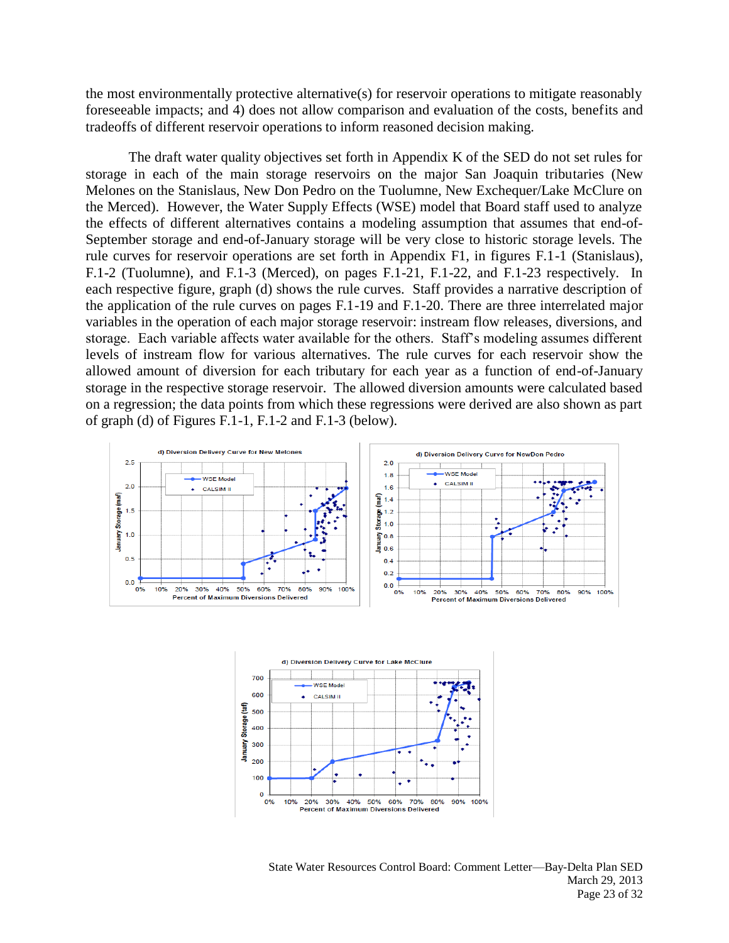the most environmentally protective alternative(s) for reservoir operations to mitigate reasonably foreseeable impacts; and 4) does not allow comparison and evaluation of the costs, benefits and tradeoffs of different reservoir operations to inform reasoned decision making.

The draft water quality objectives set forth in Appendix K of the SED do not set rules for storage in each of the main storage reservoirs on the major San Joaquin tributaries (New Melones on the Stanislaus, New Don Pedro on the Tuolumne, New Exchequer/Lake McClure on the Merced). However, the Water Supply Effects (WSE) model that Board staff used to analyze the effects of different alternatives contains a modeling assumption that assumes that end-of-September storage and end-of-January storage will be very close to historic storage levels. The rule curves for reservoir operations are set forth in Appendix F1, in figures F.1-1 (Stanislaus), F.1-2 (Tuolumne), and F.1-3 (Merced), on pages F.1-21, F.1-22, and F.1-23 respectively. In each respective figure, graph (d) shows the rule curves. Staff provides a narrative description of the application of the rule curves on pages F.1-19 and F.1-20. There are three interrelated major variables in the operation of each major storage reservoir: instream flow releases, diversions, and storage. Each variable affects water available for the others. Staff's modeling assumes different levels of instream flow for various alternatives. The rule curves for each reservoir show the allowed amount of diversion for each tributary for each year as a function of end-of-January storage in the respective storage reservoir. The allowed diversion amounts were calculated based on a regression; the data points from which these regressions were derived are also shown as part of graph (d) of Figures F.1-1, F.1-2 and F.1-3 (below).





State Water Resources Control Board: Comment Letter—Bay-Delta Plan SED March 29, 2013 Page 23 of 32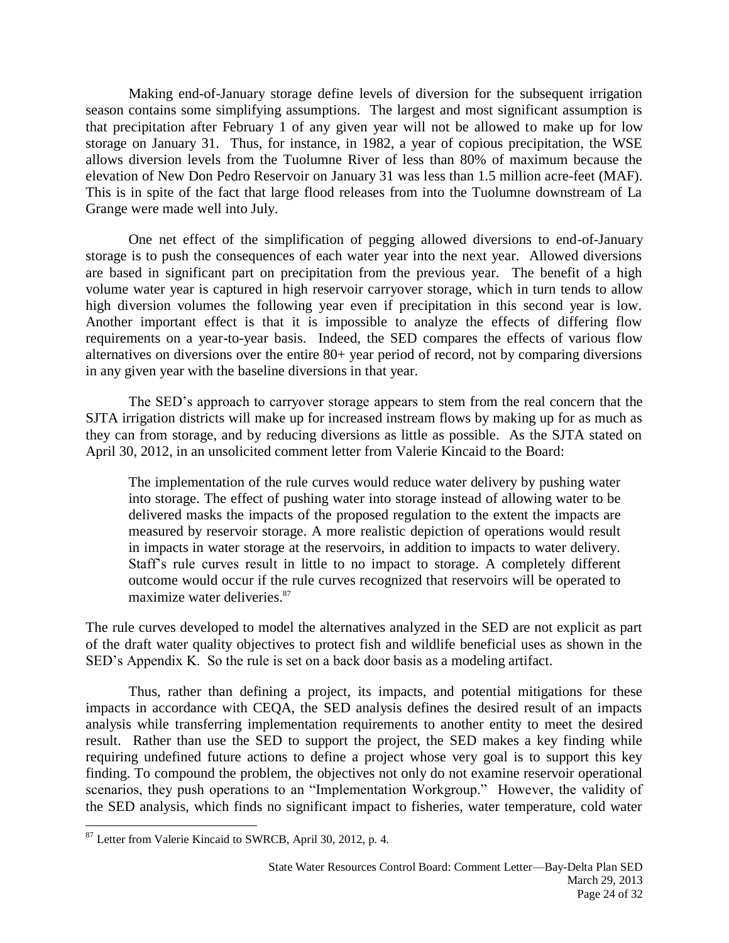Making end-of-January storage define levels of diversion for the subsequent irrigation season contains some simplifying assumptions. The largest and most significant assumption is that precipitation after February 1 of any given year will not be allowed to make up for low storage on January 31. Thus, for instance, in 1982, a year of copious precipitation, the WSE allows diversion levels from the Tuolumne River of less than 80% of maximum because the elevation of New Don Pedro Reservoir on January 31 was less than 1.5 million acre-feet (MAF). This is in spite of the fact that large flood releases from into the Tuolumne downstream of La Grange were made well into July.

One net effect of the simplification of pegging allowed diversions to end-of-January storage is to push the consequences of each water year into the next year. Allowed diversions are based in significant part on precipitation from the previous year. The benefit of a high volume water year is captured in high reservoir carryover storage, which in turn tends to allow high diversion volumes the following year even if precipitation in this second year is low. Another important effect is that it is impossible to analyze the effects of differing flow requirements on a year-to-year basis. Indeed, the SED compares the effects of various flow alternatives on diversions over the entire 80+ year period of record, not by comparing diversions in any given year with the baseline diversions in that year.

The SED's approach to carryover storage appears to stem from the real concern that the SJTA irrigation districts will make up for increased instream flows by making up for as much as they can from storage, and by reducing diversions as little as possible. As the SJTA stated on April 30, 2012, in an unsolicited comment letter from Valerie Kincaid to the Board:

The implementation of the rule curves would reduce water delivery by pushing water into storage. The effect of pushing water into storage instead of allowing water to be delivered masks the impacts of the proposed regulation to the extent the impacts are measured by reservoir storage. A more realistic depiction of operations would result in impacts in water storage at the reservoirs, in addition to impacts to water delivery. Staff's rule curves result in little to no impact to storage. A completely different outcome would occur if the rule curves recognized that reservoirs will be operated to maximize water deliveries.<sup>87</sup>

The rule curves developed to model the alternatives analyzed in the SED are not explicit as part of the draft water quality objectives to protect fish and wildlife beneficial uses as shown in the SED's Appendix K. So the rule is set on a back door basis as a modeling artifact.

Thus, rather than defining a project, its impacts, and potential mitigations for these impacts in accordance with CEQA, the SED analysis defines the desired result of an impacts analysis while transferring implementation requirements to another entity to meet the desired result. Rather than use the SED to support the project, the SED makes a key finding while requiring undefined future actions to define a project whose very goal is to support this key finding. To compound the problem, the objectives not only do not examine reservoir operational scenarios, they push operations to an "Implementation Workgroup." However, the validity of the SED analysis, which finds no significant impact to fisheries, water temperature, cold water

<sup>&</sup>lt;sup>87</sup> Letter from Valerie Kincaid to SWRCB, April 30, 2012, p. 4.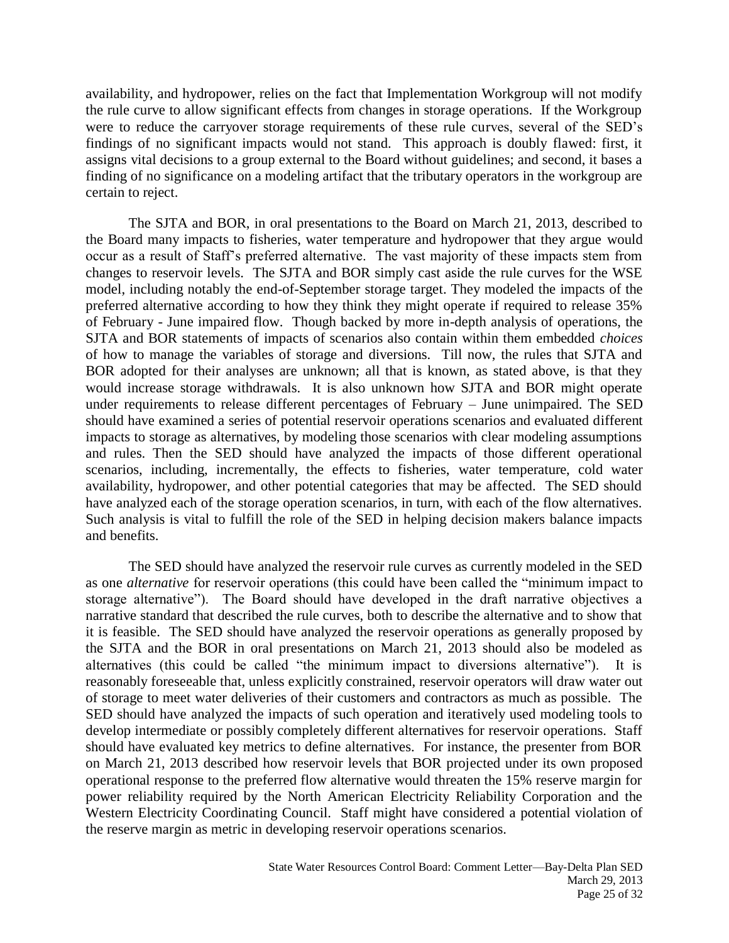availability, and hydropower, relies on the fact that Implementation Workgroup will not modify the rule curve to allow significant effects from changes in storage operations. If the Workgroup were to reduce the carryover storage requirements of these rule curves, several of the SED's findings of no significant impacts would not stand. This approach is doubly flawed: first, it assigns vital decisions to a group external to the Board without guidelines; and second, it bases a finding of no significance on a modeling artifact that the tributary operators in the workgroup are certain to reject.

The SJTA and BOR, in oral presentations to the Board on March 21, 2013, described to the Board many impacts to fisheries, water temperature and hydropower that they argue would occur as a result of Staff's preferred alternative. The vast majority of these impacts stem from changes to reservoir levels. The SJTA and BOR simply cast aside the rule curves for the WSE model, including notably the end-of-September storage target. They modeled the impacts of the preferred alternative according to how they think they might operate if required to release 35% of February - June impaired flow. Though backed by more in-depth analysis of operations, the SJTA and BOR statements of impacts of scenarios also contain within them embedded *choices* of how to manage the variables of storage and diversions. Till now, the rules that SJTA and BOR adopted for their analyses are unknown; all that is known, as stated above, is that they would increase storage withdrawals. It is also unknown how SJTA and BOR might operate under requirements to release different percentages of February – June unimpaired. The SED should have examined a series of potential reservoir operations scenarios and evaluated different impacts to storage as alternatives, by modeling those scenarios with clear modeling assumptions and rules. Then the SED should have analyzed the impacts of those different operational scenarios, including, incrementally, the effects to fisheries, water temperature, cold water availability, hydropower, and other potential categories that may be affected. The SED should have analyzed each of the storage operation scenarios, in turn, with each of the flow alternatives. Such analysis is vital to fulfill the role of the SED in helping decision makers balance impacts and benefits.

The SED should have analyzed the reservoir rule curves as currently modeled in the SED as one *alternative* for reservoir operations (this could have been called the "minimum impact to storage alternative"). The Board should have developed in the draft narrative objectives a narrative standard that described the rule curves, both to describe the alternative and to show that it is feasible. The SED should have analyzed the reservoir operations as generally proposed by the SJTA and the BOR in oral presentations on March 21, 2013 should also be modeled as alternatives (this could be called "the minimum impact to diversions alternative"). It is reasonably foreseeable that, unless explicitly constrained, reservoir operators will draw water out of storage to meet water deliveries of their customers and contractors as much as possible. The SED should have analyzed the impacts of such operation and iteratively used modeling tools to develop intermediate or possibly completely different alternatives for reservoir operations. Staff should have evaluated key metrics to define alternatives. For instance, the presenter from BOR on March 21, 2013 described how reservoir levels that BOR projected under its own proposed operational response to the preferred flow alternative would threaten the 15% reserve margin for power reliability required by the North American Electricity Reliability Corporation and the Western Electricity Coordinating Council. Staff might have considered a potential violation of the reserve margin as metric in developing reservoir operations scenarios.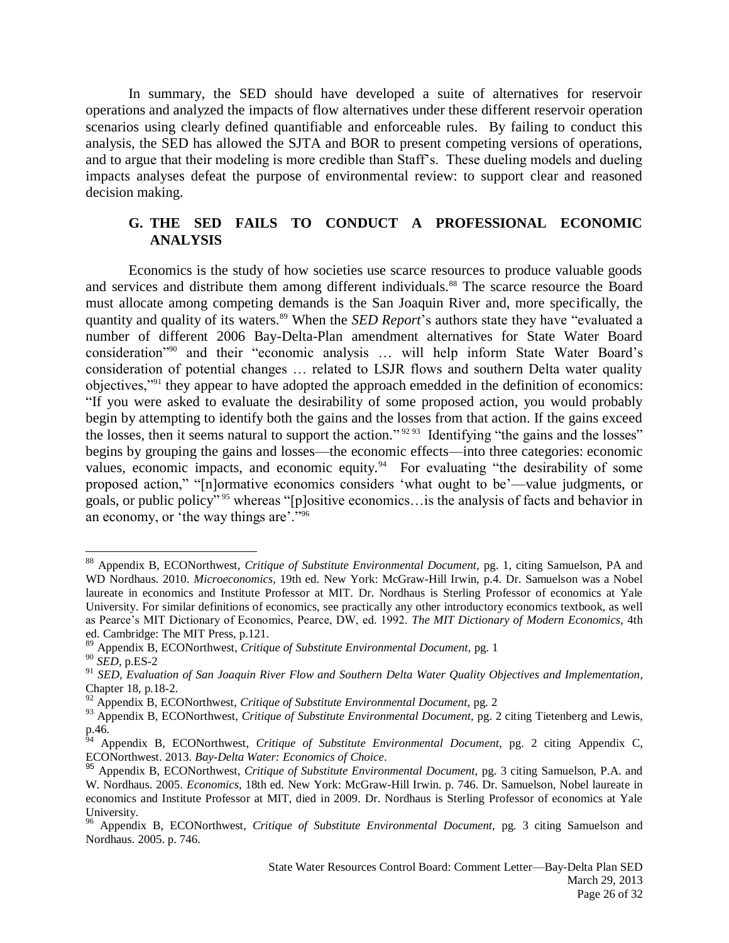In summary, the SED should have developed a suite of alternatives for reservoir operations and analyzed the impacts of flow alternatives under these different reservoir operation scenarios using clearly defined quantifiable and enforceable rules. By failing to conduct this analysis, the SED has allowed the SJTA and BOR to present competing versions of operations, and to argue that their modeling is more credible than Staff's. These dueling models and dueling impacts analyses defeat the purpose of environmental review: to support clear and reasoned decision making.

### **G. THE SED FAILS TO CONDUCT A PROFESSIONAL ECONOMIC ANALYSIS**

Economics is the study of how societies use scarce resources to produce valuable goods and services and distribute them among different individuals.<sup>88</sup> The scarce resource the Board must allocate among competing demands is the San Joaquin River and, more specifically, the quantity and quality of its waters.<sup>89</sup> When the *SED Report*'s authors state they have "evaluated a number of different 2006 Bay-Delta-Plan amendment alternatives for State Water Board consideration"<sup>90</sup> and their "economic analysis … will help inform State Water Board's consideration of potential changes … related to LSJR flows and southern Delta water quality objectives,"<sup>91</sup> they appear to have adopted the approach emedded in the definition of economics: "If you were asked to evaluate the desirability of some proposed action, you would probably begin by attempting to identify both the gains and the losses from that action. If the gains exceed the losses, then it seems natural to support the action."<sup>9293</sup> Identifying "the gains and the losses" begins by grouping the gains and losses—the economic effects—into three categories: economic values, economic impacts, and economic equity. $94$  For evaluating "the desirability of some proposed action," "[n]ormative economics considers 'what ought to be'—value judgments, or goals, or public policy" <sup>95</sup> whereas "[p]ositive economics…is the analysis of facts and behavior in an economy, or 'the way things are'." 96

 $\overline{a}$ <sup>88</sup> Appendix B, ECONorthwest, *Critique of Substitute Environmental Document,* pg. 1, citing Samuelson, PA and WD Nordhaus. 2010. *Microeconomics,* 19th ed. New York: McGraw-Hill Irwin, p.4. Dr. Samuelson was a Nobel laureate in economics and Institute Professor at MIT. Dr. Nordhaus is Sterling Professor of economics at Yale University. For similar definitions of economics, see practically any other introductory economics textbook, as well as Pearce's MIT Dictionary of Economics, Pearce, DW, ed. 1992. *The MIT Dictionary of Modern Economics*, 4th ed. Cambridge: The MIT Press, p.121.

<sup>89</sup> Appendix B, ECONorthwest, *Critique of Substitute Environmental Document,* pg. 1

<sup>90</sup> *SED,* p.ES-2

<sup>91</sup> *SED, Evaluation of San Joaquin River Flow and Southern Delta Water Quality Objectives and Implementation*, Chapter 18, p.18-2.

<sup>92</sup> Appendix B, ECONorthwest, *Critique of Substitute Environmental Document,* pg. 2

<sup>&</sup>lt;sup>93</sup> Appendix B, ECONorthwest, *Critique of Substitute Environmental Document*, pg. 2 citing Tietenberg and Lewis,  $p.46.$ 

<sup>94</sup> Appendix B, ECONorthwest, *Critique of Substitute Environmental Document,* pg. 2 citing Appendix C, ECONorthwest. 2013. *Bay-Delta Water: Economics of Choice*.

<sup>95</sup> Appendix B, ECONorthwest, *Critique of Substitute Environmental Document,* pg. 3 citing Samuelson, P.A. and W. Nordhaus. 2005. *Economics,* 18th ed. New York: McGraw-Hill Irwin. p. 746. Dr. Samuelson, Nobel laureate in economics and Institute Professor at MIT, died in 2009. Dr. Nordhaus is Sterling Professor of economics at Yale University.

<sup>96</sup> Appendix B, ECONorthwest, *Critique of Substitute Environmental Document,* pg. 3 citing Samuelson and Nordhaus. 2005. p. 746.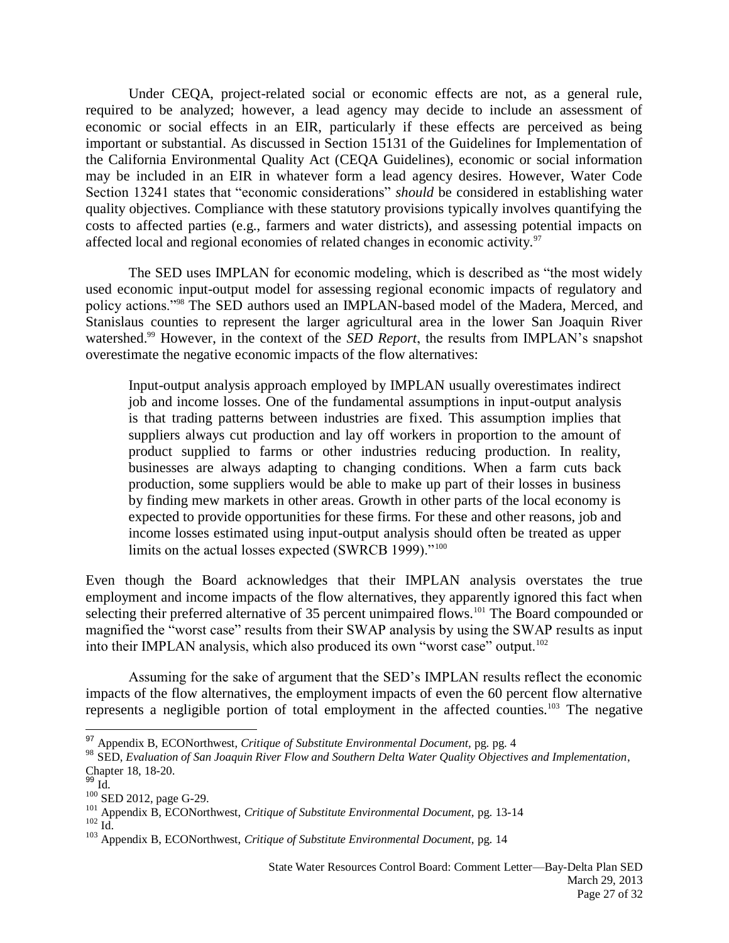Under CEQA, project-related social or economic effects are not, as a general rule, required to be analyzed; however, a lead agency may decide to include an assessment of economic or social effects in an EIR, particularly if these effects are perceived as being important or substantial. As discussed in Section 15131 of the Guidelines for Implementation of the California Environmental Quality Act (CEQA Guidelines), economic or social information may be included in an EIR in whatever form a lead agency desires. However, Water Code Section 13241 states that "economic considerations" *should* be considered in establishing water quality objectives. Compliance with these statutory provisions typically involves quantifying the costs to affected parties (e.g., farmers and water districts), and assessing potential impacts on affected local and regional economies of related changes in economic activity.<sup>97</sup>

The SED uses IMPLAN for economic modeling, which is described as "the most widely used economic input-output model for assessing regional economic impacts of regulatory and policy actions."<sup>98</sup> The SED authors used an IMPLAN-based model of the Madera, Merced, and Stanislaus counties to represent the larger agricultural area in the lower San Joaquin River watershed.<sup>99</sup> However, in the context of the *SED Report*, the results from IMPLAN's snapshot overestimate the negative economic impacts of the flow alternatives:

Input-output analysis approach employed by IMPLAN usually overestimates indirect job and income losses. One of the fundamental assumptions in input-output analysis is that trading patterns between industries are fixed. This assumption implies that suppliers always cut production and lay off workers in proportion to the amount of product supplied to farms or other industries reducing production. In reality, businesses are always adapting to changing conditions. When a farm cuts back production, some suppliers would be able to make up part of their losses in business by finding mew markets in other areas. Growth in other parts of the local economy is expected to provide opportunities for these firms. For these and other reasons, job and income losses estimated using input-output analysis should often be treated as upper limits on the actual losses expected (SWRCB 1999)."<sup>100</sup>

Even though the Board acknowledges that their IMPLAN analysis overstates the true employment and income impacts of the flow alternatives, they apparently ignored this fact when selecting their preferred alternative of 35 percent unimpaired flows.<sup>101</sup> The Board compounded or magnified the "worst case" results from their SWAP analysis by using the SWAP results as input into their IMPLAN analysis, which also produced its own "worst case" output.<sup>102</sup>

Assuming for the sake of argument that the SED's IMPLAN results reflect the economic impacts of the flow alternatives, the employment impacts of even the 60 percent flow alternative represents a negligible portion of total employment in the affected counties.<sup>103</sup> The negative

<sup>97</sup> Appendix B, ECONorthwest, *Critique of Substitute Environmental Document,* pg. pg. 4

<sup>98</sup> SED, *Evaluation of San Joaquin River Flow and Southern Delta Water Quality Objectives and Implementation*, Chapter 18, 18-20.

<sup>&</sup>lt;sup>99</sup> Id.

 $100$  SED 2012, page G-29.

<sup>101</sup> Appendix B, ECONorthwest, *Critique of Substitute Environmental Document,* pg. 13-14  $102 \text{ Id.}$ 

<sup>103</sup> Appendix B, ECONorthwest, *Critique of Substitute Environmental Document,* pg. 14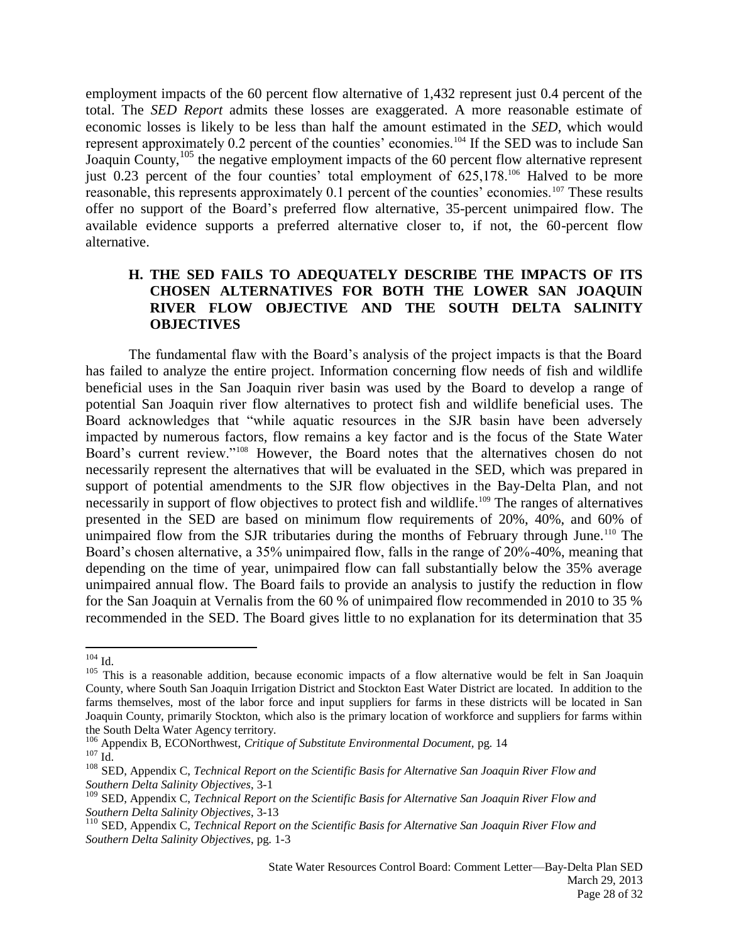employment impacts of the 60 percent flow alternative of 1,432 represent just 0.4 percent of the total. The *SED Report* admits these losses are exaggerated. A more reasonable estimate of economic losses is likely to be less than half the amount estimated in the *SED*, which would represent approximately 0.2 percent of the counties' economies.<sup>104</sup> If the SED was to include San Joaquin County,<sup>105</sup> the negative employment impacts of the 60 percent flow alternative represent just 0.23 percent of the four counties' total employment of 625,178.<sup>106</sup> Halved to be more reasonable, this represents approximately 0.1 percent of the counties' economies.<sup>107</sup> These results offer no support of the Board's preferred flow alternative, 35-percent unimpaired flow. The available evidence supports a preferred alternative closer to, if not, the 60-percent flow alternative.

# **H. THE SED FAILS TO ADEQUATELY DESCRIBE THE IMPACTS OF ITS CHOSEN ALTERNATIVES FOR BOTH THE LOWER SAN JOAQUIN RIVER FLOW OBJECTIVE AND THE SOUTH DELTA SALINITY OBJECTIVES**

The fundamental flaw with the Board's analysis of the project impacts is that the Board has failed to analyze the entire project. Information concerning flow needs of fish and wildlife beneficial uses in the San Joaquin river basin was used by the Board to develop a range of potential San Joaquin river flow alternatives to protect fish and wildlife beneficial uses. The Board acknowledges that "while aquatic resources in the SJR basin have been adversely impacted by numerous factors, flow remains a key factor and is the focus of the State Water Board's current review."<sup>108</sup> However, the Board notes that the alternatives chosen do not necessarily represent the alternatives that will be evaluated in the SED, which was prepared in support of potential amendments to the SJR flow objectives in the Bay-Delta Plan, and not necessarily in support of flow objectives to protect fish and wildlife.<sup>109</sup> The ranges of alternatives presented in the SED are based on minimum flow requirements of 20%, 40%, and 60% of unimpaired flow from the SJR tributaries during the months of February through June.<sup>110</sup> The Board's chosen alternative, a 35% unimpaired flow, falls in the range of 20%-40%, meaning that depending on the time of year, unimpaired flow can fall substantially below the 35% average unimpaired annual flow. The Board fails to provide an analysis to justify the reduction in flow for the San Joaquin at Vernalis from the 60 % of unimpaired flow recommended in 2010 to 35 % recommended in the SED. The Board gives little to no explanation for its determination that 35

 $104$  Id.

<sup>&</sup>lt;sup>105</sup> This is a reasonable addition, because economic impacts of a flow alternative would be felt in San Joaquin County, where South San Joaquin Irrigation District and Stockton East Water District are located. In addition to the farms themselves, most of the labor force and input suppliers for farms in these districts will be located in San Joaquin County, primarily Stockton, which also is the primary location of workforce and suppliers for farms within the South Delta Water Agency territory.

<sup>106</sup> Appendix B, ECONorthwest, *Critique of Substitute Environmental Document,* pg. 14  $107$  Id.

<sup>108</sup> SED, Appendix C, *Technical Report on the Scientific Basis for Alternative San Joaquin River Flow and Southern Delta Salinity Objectives*, 3-1

<sup>109</sup> SED, Appendix C, *Technical Report on the Scientific Basis for Alternative San Joaquin River Flow and Southern Delta Salinity Objectives*, 3-13

<sup>110</sup> SED, Appendix C, *Technical Report on the Scientific Basis for Alternative San Joaquin River Flow and Southern Delta Salinity Objectives*, pg. 1-3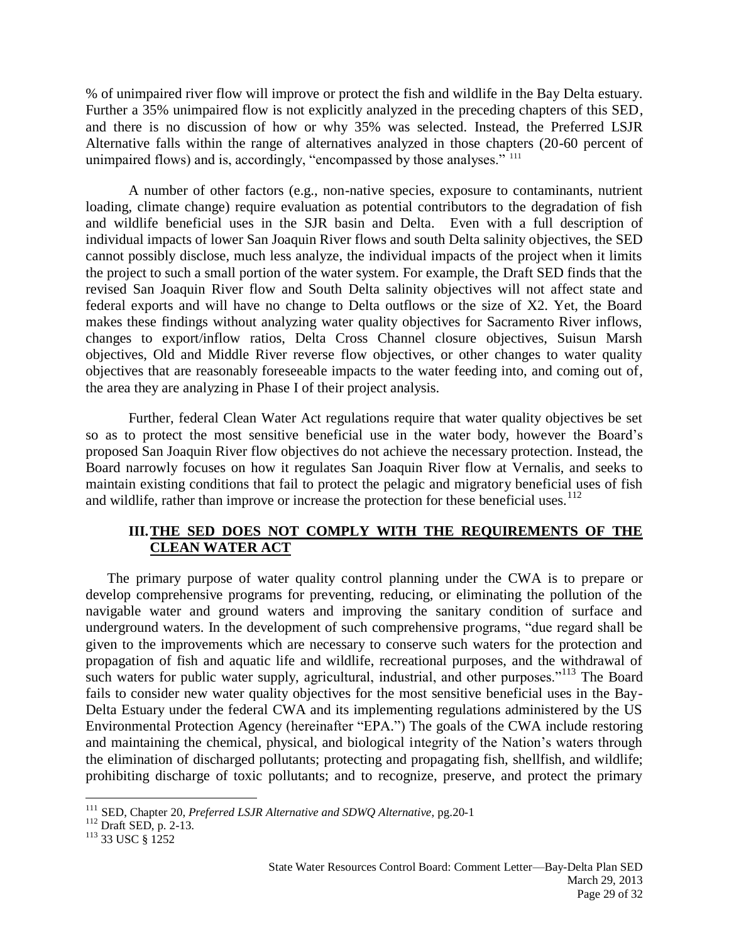% of unimpaired river flow will improve or protect the fish and wildlife in the Bay Delta estuary. Further a 35% unimpaired flow is not explicitly analyzed in the preceding chapters of this SED, and there is no discussion of how or why 35% was selected*.* Instead, the Preferred LSJR Alternative falls within the range of alternatives analyzed in those chapters (20-60 percent of unimpaired flows) and is, accordingly, "encompassed by those analyses." <sup>111</sup>

A number of other factors (e.g., non-native species, exposure to contaminants, nutrient loading, climate change) require evaluation as potential contributors to the degradation of fish and wildlife beneficial uses in the SJR basin and Delta. Even with a full description of individual impacts of lower San Joaquin River flows and south Delta salinity objectives, the SED cannot possibly disclose, much less analyze, the individual impacts of the project when it limits the project to such a small portion of the water system. For example, the Draft SED finds that the revised San Joaquin River flow and South Delta salinity objectives will not affect state and federal exports and will have no change to Delta outflows or the size of X2. Yet, the Board makes these findings without analyzing water quality objectives for Sacramento River inflows, changes to export/inflow ratios, Delta Cross Channel closure objectives, Suisun Marsh objectives, Old and Middle River reverse flow objectives, or other changes to water quality objectives that are reasonably foreseeable impacts to the water feeding into, and coming out of, the area they are analyzing in Phase I of their project analysis.

Further, federal Clean Water Act regulations require that water quality objectives be set so as to protect the most sensitive beneficial use in the water body, however the Board's proposed San Joaquin River flow objectives do not achieve the necessary protection. Instead, the Board narrowly focuses on how it regulates San Joaquin River flow at Vernalis, and seeks to maintain existing conditions that fail to protect the pelagic and migratory beneficial uses of fish and wildlife, rather than improve or increase the protection for these beneficial uses.<sup>112</sup>

# **III.THE SED DOES NOT COMPLY WITH THE REQUIREMENTS OF THE CLEAN WATER ACT**

The primary purpose of water quality control planning under the CWA is to prepare or develop comprehensive programs for preventing, reducing, or eliminating the pollution of the navigable water and ground waters and improving the sanitary condition of surface and underground waters. In the development of such comprehensive programs, "due regard shall be given to the improvements which are necessary to conserve such waters for the protection and propagation of fish and aquatic life and wildlife, recreational purposes, and the withdrawal of such waters for public water supply, agricultural, industrial, and other purposes."<sup>113</sup> The Board fails to consider new water quality objectives for the most sensitive beneficial uses in the Bay-Delta Estuary under the federal CWA and its implementing regulations administered by the US Environmental Protection Agency (hereinafter "EPA.") The goals of the CWA include restoring and maintaining the chemical, physical, and biological integrity of the Nation's waters through the elimination of discharged pollutants; protecting and propagating fish, shellfish, and wildlife; prohibiting discharge of toxic pollutants; and to recognize, preserve, and protect the primary

<sup>111</sup> SED, Chapter 20, *Preferred LSJR Alternative and SDWQ Alternative*, pg.20-1

<sup>112</sup> Draft SED, p. 2-13.

<sup>&</sup>lt;sup>113</sup> 33 USC § 1252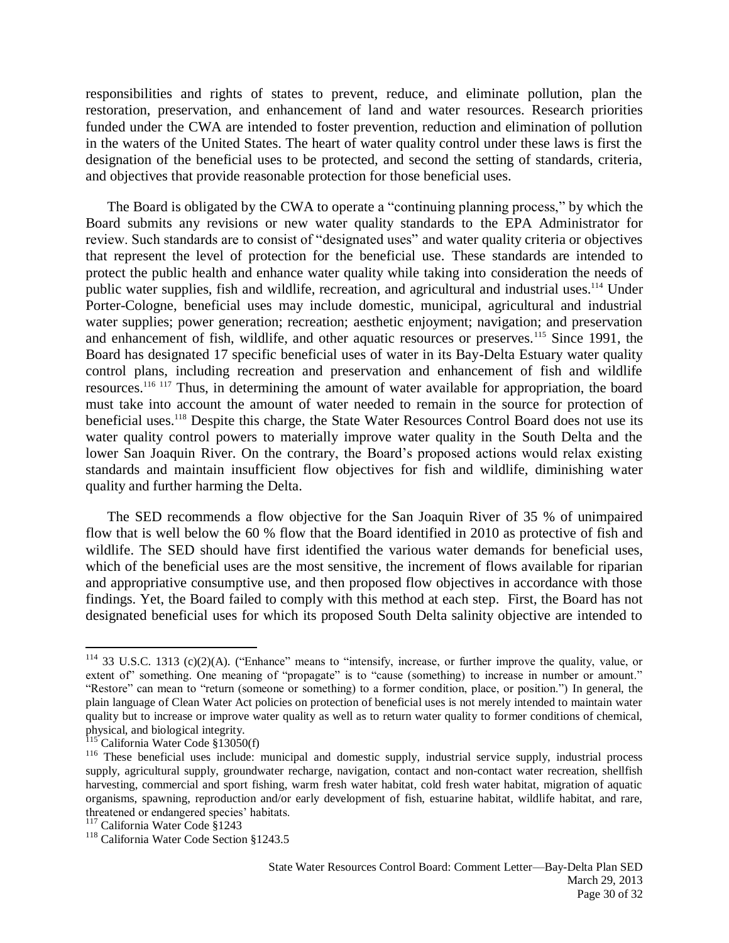responsibilities and rights of states to prevent, reduce, and eliminate pollution, plan the restoration, preservation, and enhancement of land and water resources. Research priorities funded under the CWA are intended to foster prevention, reduction and elimination of pollution in the waters of the United States. The heart of water quality control under these laws is first the designation of the beneficial uses to be protected, and second the setting of standards, criteria, and objectives that provide reasonable protection for those beneficial uses.

The Board is obligated by the CWA to operate a "continuing planning process," by which the Board submits any revisions or new water quality standards to the EPA Administrator for review. Such standards are to consist of "designated uses" and water quality criteria or objectives that represent the level of protection for the beneficial use. These standards are intended to protect the public health and enhance water quality while taking into consideration the needs of public water supplies, fish and wildlife, recreation, and agricultural and industrial uses.<sup>114</sup> Under Porter-Cologne, beneficial uses may include domestic, municipal, agricultural and industrial water supplies; power generation; recreation; aesthetic enjoyment; navigation; and preservation and enhancement of fish, wildlife, and other aquatic resources or preserves.<sup>115</sup> Since 1991, the Board has designated 17 specific beneficial uses of water in its Bay-Delta Estuary water quality control plans, including recreation and preservation and enhancement of fish and wildlife resources.<sup>116 117</sup> Thus, in determining the amount of water available for appropriation, the board must take into account the amount of water needed to remain in the source for protection of beneficial uses.<sup>118</sup> Despite this charge, the State Water Resources Control Board does not use its water quality control powers to materially improve water quality in the South Delta and the lower San Joaquin River. On the contrary, the Board's proposed actions would relax existing standards and maintain insufficient flow objectives for fish and wildlife, diminishing water quality and further harming the Delta.

The SED recommends a flow objective for the San Joaquin River of 35 % of unimpaired flow that is well below the 60 % flow that the Board identified in 2010 as protective of fish and wildlife. The SED should have first identified the various water demands for beneficial uses, which of the beneficial uses are the most sensitive, the increment of flows available for riparian and appropriative consumptive use, and then proposed flow objectives in accordance with those findings. Yet, the Board failed to comply with this method at each step. First, the Board has not designated beneficial uses for which its proposed South Delta salinity objective are intended to

 $114$  33 U.S.C. 1313 (c)(2)(A). ("Enhance" means to "intensify, increase, or further improve the quality, value, or extent of" something. One meaning of "propagate" is to "cause (something) to increase in number or amount." "Restore" can mean to "return (someone or something) to a former condition, place, or position.") In general, the plain language of Clean Water Act policies on protection of beneficial uses is not merely intended to maintain water quality but to increase or improve water quality as well as to return water quality to former conditions of chemical, physical, and biological integrity.

California Water Code §13050(f)

<sup>&</sup>lt;sup>116</sup> These beneficial uses include: municipal and domestic supply, industrial service supply, industrial process supply, agricultural supply, groundwater recharge, navigation, contact and non-contact water recreation, shellfish harvesting, commercial and sport fishing, warm fresh water habitat, cold fresh water habitat, migration of aquatic organisms, spawning, reproduction and/or early development of fish, estuarine habitat, wildlife habitat, and rare, threatened or endangered species' habitats.

<sup>&</sup>lt;sup>117</sup> California Water Code §1243

<sup>118</sup> California Water Code Section §1243.5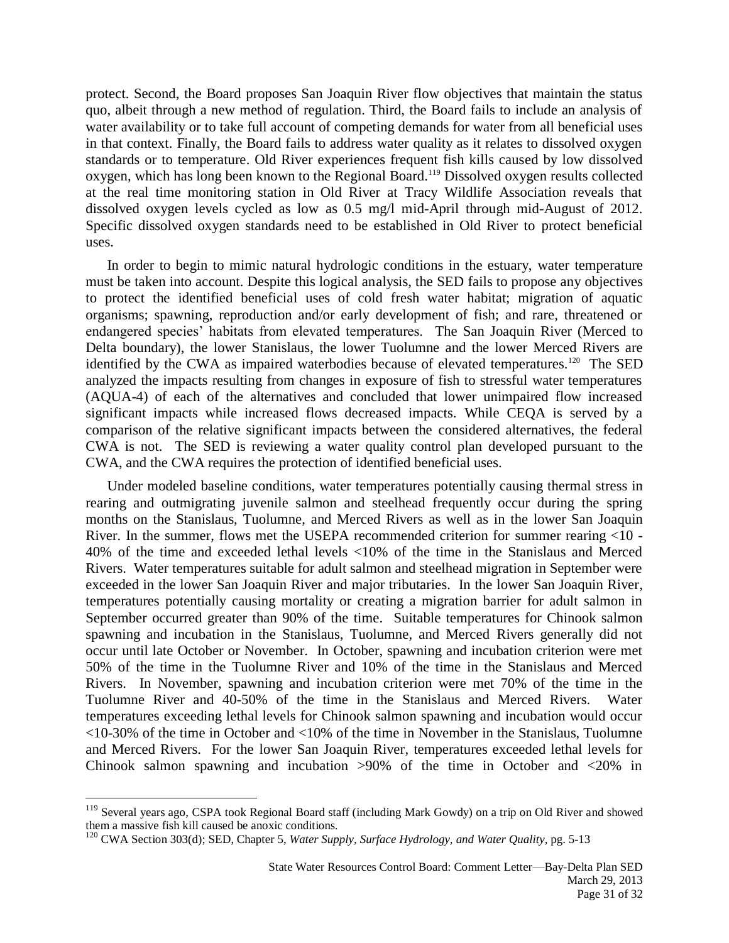protect. Second, the Board proposes San Joaquin River flow objectives that maintain the status quo, albeit through a new method of regulation. Third, the Board fails to include an analysis of water availability or to take full account of competing demands for water from all beneficial uses in that context. Finally, the Board fails to address water quality as it relates to dissolved oxygen standards or to temperature. Old River experiences frequent fish kills caused by low dissolved oxygen, which has long been known to the Regional Board.<sup>119</sup> Dissolved oxygen results collected at the real time monitoring station in Old River at Tracy Wildlife Association reveals that dissolved oxygen levels cycled as low as 0.5 mg/l mid-April through mid-August of 2012. Specific dissolved oxygen standards need to be established in Old River to protect beneficial uses.

In order to begin to mimic natural hydrologic conditions in the estuary, water temperature must be taken into account. Despite this logical analysis, the SED fails to propose any objectives to protect the identified beneficial uses of cold fresh water habitat; migration of aquatic organisms; spawning, reproduction and/or early development of fish; and rare, threatened or endangered species' habitats from elevated temperatures. The San Joaquin River (Merced to Delta boundary), the lower Stanislaus, the lower Tuolumne and the lower Merced Rivers are identified by the CWA as impaired waterbodies because of elevated temperatures.<sup>120</sup> The SED analyzed the impacts resulting from changes in exposure of fish to stressful water temperatures (AQUA-4) of each of the alternatives and concluded that lower unimpaired flow increased significant impacts while increased flows decreased impacts. While CEQA is served by a comparison of the relative significant impacts between the considered alternatives, the federal CWA is not. The SED is reviewing a water quality control plan developed pursuant to the CWA, and the CWA requires the protection of identified beneficial uses.

Under modeled baseline conditions, water temperatures potentially causing thermal stress in rearing and outmigrating juvenile salmon and steelhead frequently occur during the spring months on the Stanislaus, Tuolumne, and Merced Rivers as well as in the lower San Joaquin River. In the summer, flows met the USEPA recommended criterion for summer rearing <10 - 40% of the time and exceeded lethal levels <10% of the time in the Stanislaus and Merced Rivers. Water temperatures suitable for adult salmon and steelhead migration in September were exceeded in the lower San Joaquin River and major tributaries. In the lower San Joaquin River, temperatures potentially causing mortality or creating a migration barrier for adult salmon in September occurred greater than 90% of the time. Suitable temperatures for Chinook salmon spawning and incubation in the Stanislaus, Tuolumne, and Merced Rivers generally did not occur until late October or November. In October, spawning and incubation criterion were met 50% of the time in the Tuolumne River and 10% of the time in the Stanislaus and Merced Rivers. In November, spawning and incubation criterion were met 70% of the time in the Tuolumne River and 40-50% of the time in the Stanislaus and Merced Rivers. Water temperatures exceeding lethal levels for Chinook salmon spawning and incubation would occur <10-30% of the time in October and <10% of the time in November in the Stanislaus, Tuolumne and Merced Rivers. For the lower San Joaquin River, temperatures exceeded lethal levels for Chinook salmon spawning and incubation >90% of the time in October and <20% in

<sup>&</sup>lt;sup>119</sup> Several years ago, CSPA took Regional Board staff (including Mark Gowdy) on a trip on Old River and showed them a massive fish kill caused be anoxic conditions.

<sup>120</sup> CWA Section 303(d); SED, Chapter 5, *Water Supply, Surface Hydrology, and Water Quality,* pg. 5-13